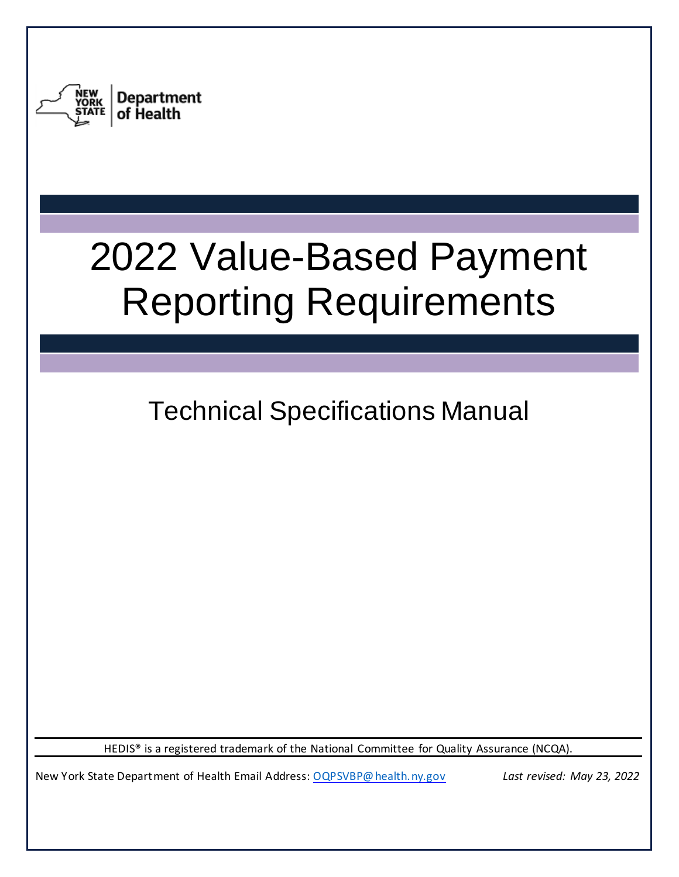

# 2022 Value-Based Payment Reporting Requirements

Technical Specifications Manual

HEDIS® is a registered trademark of the National Committee for Quality Assurance (NCQA).

New York State Department of Health Email Address: [OQPSVBP@health.ny.gov](mailto:nysqarr@health.ny.gov) *Last revised: May 23, 2022*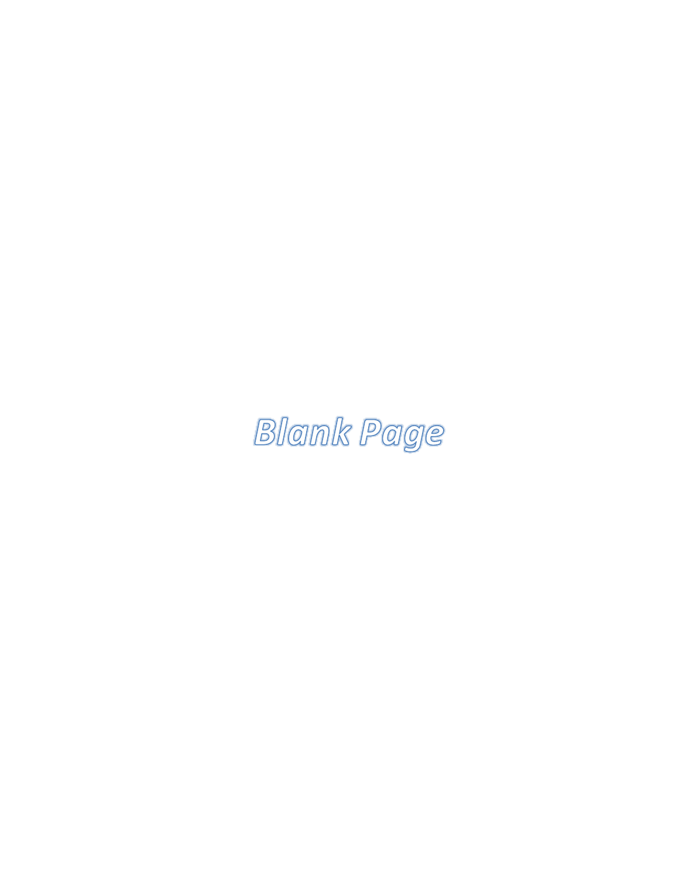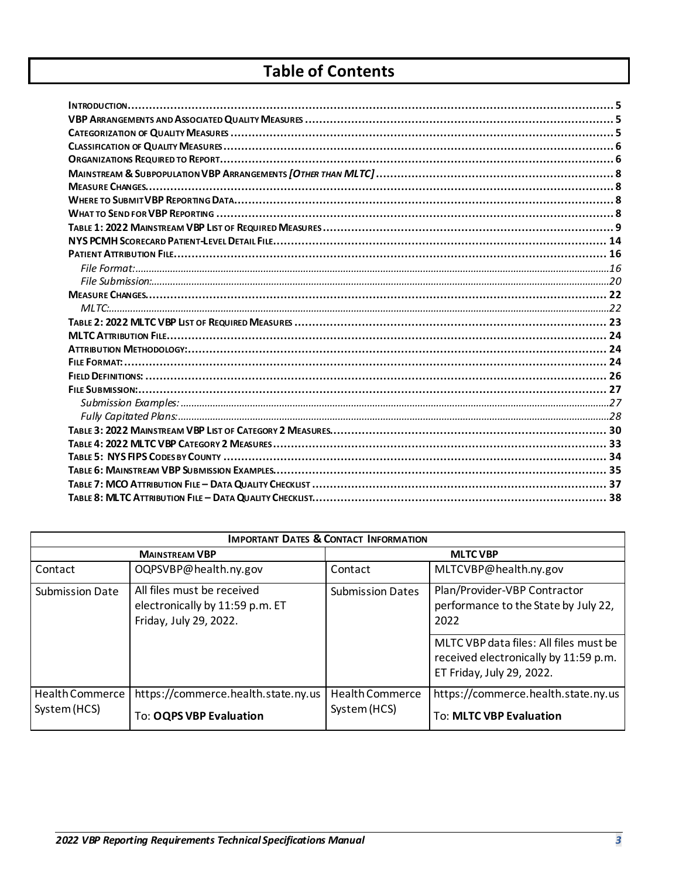## **Table of Contents**

|                                        |                                                                                         | <b>IMPORTANT DATES &amp; CONTACT INFORMATION</b> |                                                                                                              |
|----------------------------------------|-----------------------------------------------------------------------------------------|--------------------------------------------------|--------------------------------------------------------------------------------------------------------------|
|                                        | <b>MAINSTREAM VBP</b>                                                                   |                                                  | <b>MLTC VBP</b>                                                                                              |
| Contact                                | OQPSVBP@health.ny.gov                                                                   | Contact                                          | MLTCVBP@health.ny.gov                                                                                        |
| <b>Submission Date</b>                 | All files must be received<br>electronically by 11:59 p.m. ET<br>Friday, July 29, 2022. | <b>Submission Dates</b>                          | Plan/Provider-VBP Contractor<br>performance to the State by July 22,<br>2022                                 |
|                                        |                                                                                         |                                                  | MLTC VBP data files: All files must be<br>received electronically by 11:59 p.m.<br>ET Friday, July 29, 2022. |
| <b>Health Commerce</b><br>System (HCS) | https://commerce.health.state.ny.us<br>To: OQPS VBP Evaluation                          | <b>Health Commerce</b><br>System (HCS)           | https://commerce.health.state.ny.us<br><b>To: MLTC VBP Evaluation</b>                                        |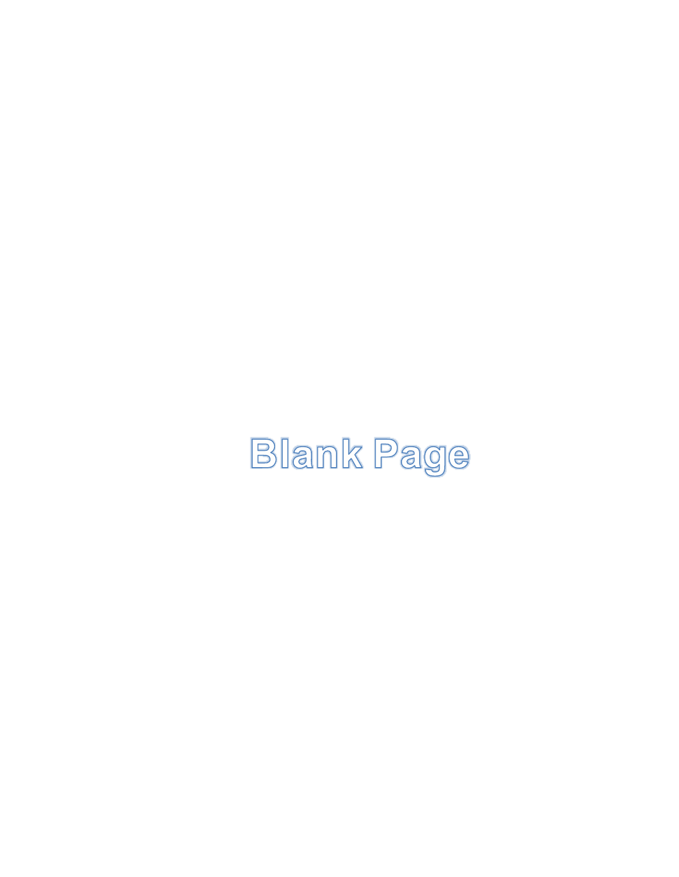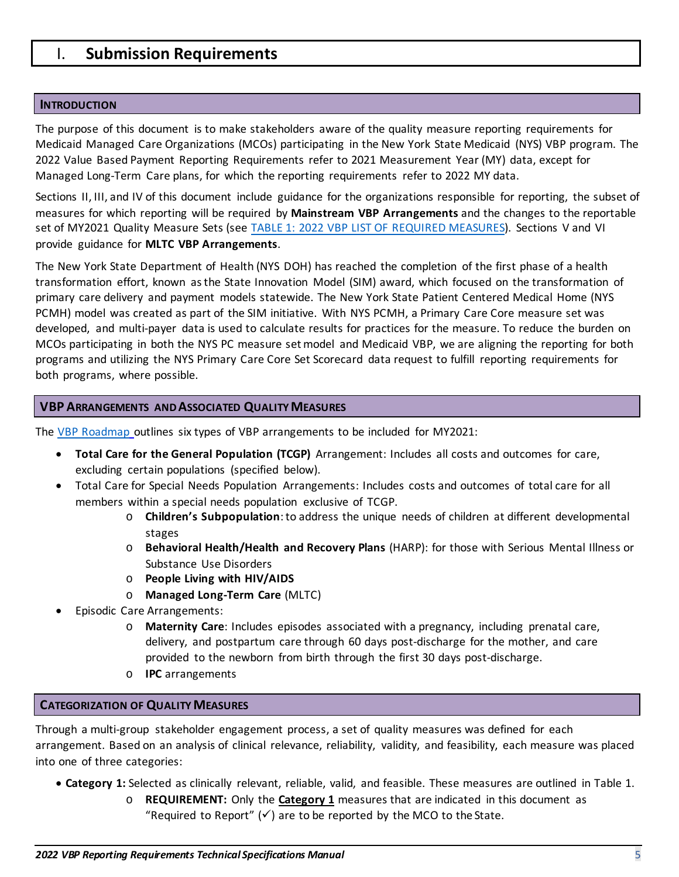## I. **Submission Requirements**

#### <span id="page-4-0"></span>**INTRODUCTION**

The purpose of this document is to make stakeholders aware of the quality measure reporting requirements for Medicaid Managed Care Organizations (MCOs) participating in the New York State Medicaid (NYS) VBP program. The 2022 Value Based Payment Reporting Requirements refer to 2021 Measurement Year (MY) data, except for Managed Long-Term Care plans, for which the reporting requirements refer to 2022 MY data.

Sections II, III, and IV of this document include guidance for the organizations responsible for reporting, the subset of measures for which reporting will be required by **Mainstream VBP Arrangements** and the changes to the reportable set of [MY2021 Quality Measure Sets \(](https://www.health.ny.gov/health_care/medicaid/redesign/dsrip/vbp_library/index.htm)see [TABLE 1: 2022 VBP LIST OF REQUIRED MEASURES\).](#page-8-1) Sections V and VI provide guidance for **MLTC VBP Arrangements**.

The New York State Department of Health (NYS DOH) has reached the completion of the first phase of a health transformation effort, known as the State Innovation Model (SIM) award, which focused on the transformation of primary care delivery and payment models statewide. The New York State Patient Centered Medical Home (NYS PCMH) model was created as part of the SIM initiative. With NYS PCMH, a Primary Care Core measure set was developed, and multi-payer data is used to calculate results for practices for the measure. To reduce the burden on MCOs participating in both the NYS PC measure set model and Medicaid VBP, we are aligning the reporting for both programs and utilizing the NYS Primary Care Core Set Scorecard data request to fulfill reporting requirements for both programs, where possible.

#### <span id="page-4-1"></span>**VBP ARRANGEMENTS AND ASSOCIATED QUALITY MEASURES**

The [VBP Roadmap](https://www.health.ny.gov/health_care/medicaid/redesign/dsrip/vbp_library/2020/docs/2019-09_final_vbp_roadmap.pdf) outlines six types of VBP arrangements to be included for MY2021:

- **Total Care for the General Population (TCGP)** Arrangement: Includes all costs and outcomes for care, excluding certain populations (specified below).
- Total Care for Special Needs Population Arrangements: Includes costs and outcomes of total care for all members within a special needs population exclusive of TCGP.
	- o **Children's Subpopulation**: to address the unique needs of children at different developmental stages
	- o **Behavioral Health/Health and Recovery Plans** (HARP): for those with Serious Mental Illness or Substance Use Disorders
	- o **People Living with HIV/AIDS**
	- o **Managed Long-Term Care** (MLTC)
- Episodic Care Arrangements:
	- o **Maternity Care**: Includes episodes associated with a pregnancy, including prenatal care, delivery, and postpartum care through 60 days post-discharge for the mother, and care provided to the newborn from birth through the first 30 days post-discharge.
	- o **IPC** arrangements

#### <span id="page-4-2"></span>**CATEGORIZATION OF QUALITY MEASURES**

Through a multi-group stakeholder engagement process, a set of quality measures was defined for each arrangement. Based on an analysis of clinical relevance, reliability, validity, and feasibility, each measure was placed into one of three categories:

- **Category 1:** Selected as clinically relevant, reliable, valid, and feasible. These measures are outlined in Table 1.
	- o **REQUIREMENT:** Only the **Category 1** measures that are indicated in this document as "Required to Report"  $(v')$  are to be reported by the MCO to the State.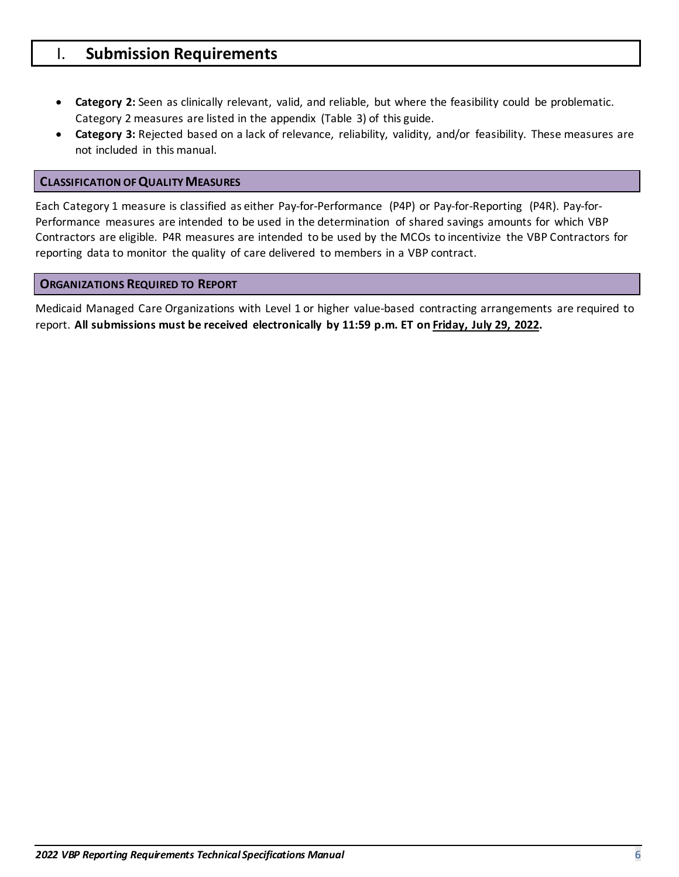## I. **Submission Requirements**

- **Category 2:** Seen as clinically relevant, valid, and reliable, but where the feasibility could be problematic. Category 2 measures are listed in the appendix (Table 3) of this guide.
- **Category 3:** Rejected based on a lack of relevance, reliability, validity, and/or feasibility. These measures are not included in this manual.

#### <span id="page-5-0"></span>**CLASSIFICATION OF QUALITY MEASURES**

Each Category 1 measure is classified as either Pay-for-Performance (P4P) or Pay-for-Reporting (P4R). Pay-for-Performance measures are intended to be used in the determination of shared savings amounts for which VBP Contractors are eligible. P4R measures are intended to be used by the MCOs to incentivize the VBP Contractors for reporting data to monitor the quality of care delivered to members in a VBP contract.

#### <span id="page-5-1"></span>**ORGANIZATIONS REQUIRED TO REPORT**

Medicaid Managed Care Organizations with Level 1 or higher value-based contracting arrangements are required to report. **All submissions must be received electronically by 11:59 p.m. ET on Friday, July 29, 2022.**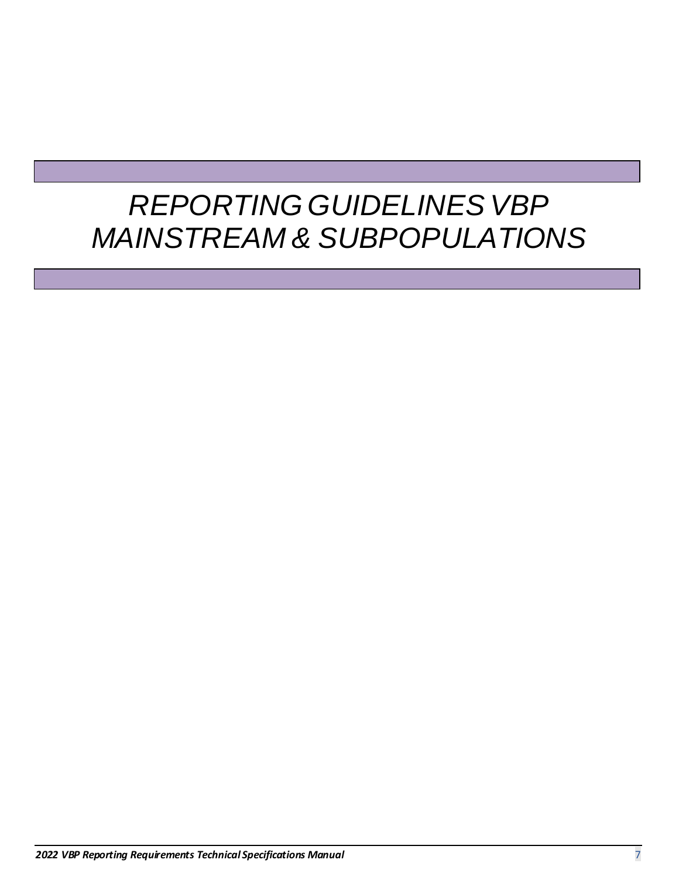## *REPORTING GUIDELINES VBP MAINSTREAM & SUBPOPULATIONS*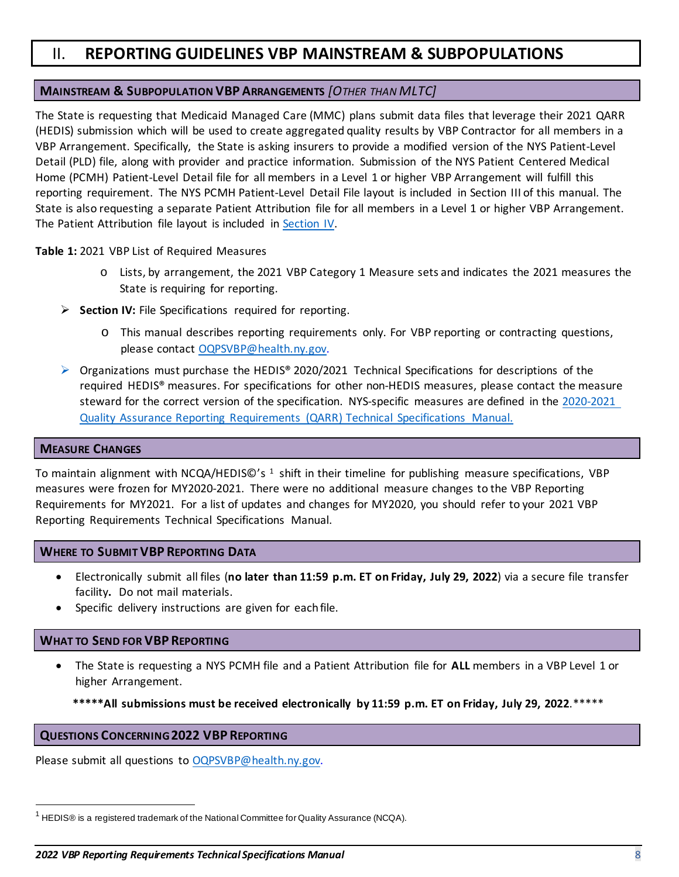## II. **REPORTING GUIDELINES VBP MAINSTREAM & SUBPOPULATIONS**

#### <span id="page-7-0"></span>**MAINSTREAM & SUBPOPULATION VBP ARRANGEMENTS** *[OTHER THAN MLTC]*

The State is requesting that Medicaid Managed Care (MMC) plans submit data files that leverage their 2021 QARR (HEDIS) submission which will be used to create aggregated quality results by VBP Contractor for all members in a VBP Arrangement. Specifically, the State is asking insurers to provide a modified version of the NYS Patient-Level Detail (PLD) file, along with provider and practice information. Submission of the NYS Patient Centered Medical Home (PCMH) Patient-Level Detail file for all members in a Level 1 or higher VBP Arrangement will fulfill this reporting requirement. The NYS PCMH Patient-Level Detail File layout is included in Section III of this manual. The State is also requesting a separate Patient Attribution file for all members in a Level 1 or higher VBP Arrangement. The Patient Attribution file layout is included in Section IV.

**Table 1:** 2021 VBP List of Required Measures

- o Lists, by arrangement, the 2021 VBP Category 1 Measure sets and indicates the 2021 measures the State is requiring for reporting.
- **Section IV:** File Specifications required for reporting.
	- o This manual describes reporting requirements only. For VBP reporting or contracting questions, please contact [OQPSVBP@health.ny.gov.](mailto:OQPSVBP@health.ny.gov)
- $\triangleright$  Organizations must purchase the HEDIS® 2020/2021 Technical Specifications for descriptions of the required HEDIS® measures. For specifications for other non-HEDIS measures, please contact the measure steward for the correct version of the specification. NYS-specific measures are defined in the [2020-2021](https://www.health.ny.gov/health_care/managed_care/qarrfull/qarr_2021/docs/qarr_specifications_manual.pdf) [Quality Assurance Reporting Requirements \(QARR\) Technical Specifications Manual.](https://www.health.ny.gov/health_care/managed_care/qarrfull/qarr_2021/docs/qarr_specifications_manual.pdf)

#### <span id="page-7-1"></span>**MEASURE CHANGES**

To maintain alignment with  $NCA/HEDIS@'s<sup>1</sup>$  $NCA/HEDIS@'s<sup>1</sup>$  $NCA/HEDIS@'s<sup>1</sup>$  shift in their timeline for publishing measure specifications, VBP measures were frozen for MY2020-2021. There were no additional measure changes to the VBP Reporting Requirements for MY2021. For a list of updates and changes for MY2020, you should refer to your 2021 VBP Reporting Requirements Technical Specifications Manual.

#### <span id="page-7-2"></span>**WHERE TO SUBMIT VBP REPORTING DATA**

- Electronically submit all files (**no later than 11:59 p.m. ET on Friday, July 29, 2022**) via a secure file transfer facility**.** Do not mail materials.
- Specific delivery instructions are given for eachfile.

#### <span id="page-7-3"></span>**WHAT TO SEND FOR VBP REPORTING**

• The State is requesting a NYS PCMH file and a Patient Attribution file for **ALL** members in a VBP Level 1 or higher Arrangement.

**\*\*\*\*\*All submissions must be received electronically by 11:59 p.m. ET on Friday, July 29, 2022**.\*\*\*\*\*

#### **QUESTIONS CONCERNING 2022 VBP REPORTING**

Please submit all questions to [OQPSVBP@health.ny.gov.](mailto:OQPSVBP@health.ny.gov)

<span id="page-7-4"></span> $1$  HEDIS® is a registered trademark of the National Committee for Quality Assurance (NCQA).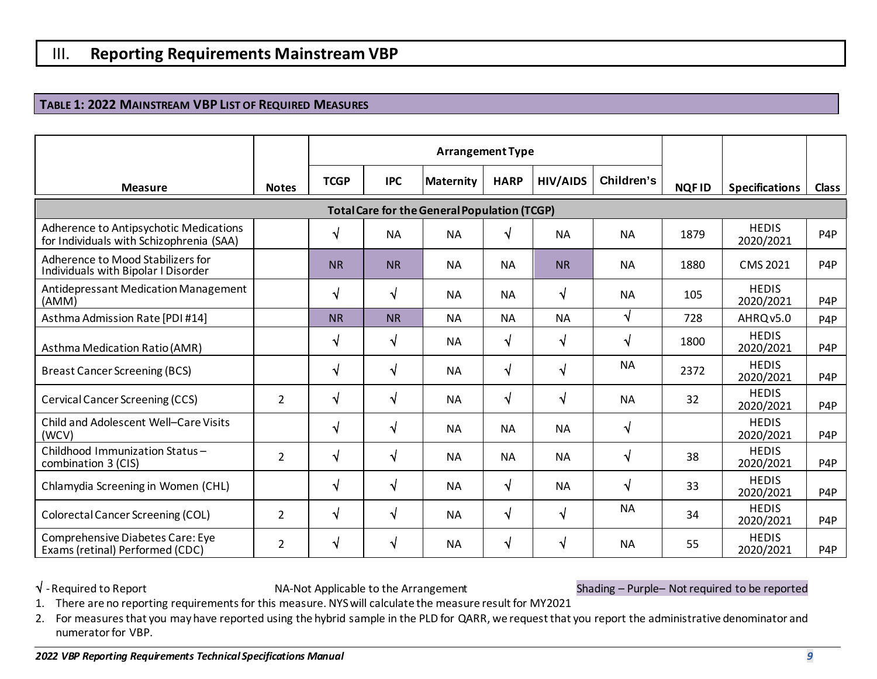#### **TABLE 1: 2022 MAINSTREAM VBP LIST OF REQUIRED MEASURES**

<span id="page-8-1"></span><span id="page-8-0"></span>

|                                                                                    |                |             |            | <b>Arrangement Type</b> |             |                 |            |              |                           |                  |
|------------------------------------------------------------------------------------|----------------|-------------|------------|-------------------------|-------------|-----------------|------------|--------------|---------------------------|------------------|
| <b>Measure</b>                                                                     | <b>Notes</b>   | <b>TCGP</b> | <b>IPC</b> | Maternity               | <b>HARP</b> | <b>HIV/AIDS</b> | Children's | <b>NQFID</b> | <b>Specifications</b>     | <b>Class</b>     |
|                                                                                    |                |             |            |                         |             |                 |            |              |                           |                  |
| Adherence to Antipsychotic Medications<br>for Individuals with Schizophrenia (SAA) |                | $\sqrt{ }$  | <b>NA</b>  | <b>NA</b>               | $\sqrt{ }$  | <b>NA</b>       | <b>NA</b>  | 1879         | <b>HEDIS</b><br>2020/2021 | P <sub>4</sub> P |
| Adherence to Mood Stabilizers for<br>Individuals with Bipolar I Disorder           |                | <b>NR</b>   | <b>NR</b>  | <b>NA</b>               | <b>NA</b>   | <b>NR</b>       | <b>NA</b>  | 1880         | <b>CMS 2021</b>           | P <sub>4</sub> P |
| Antidepressant Medication Management<br>(AMM)                                      |                | $\sqrt{ }$  | $\sqrt{}$  | <b>NA</b>               | <b>NA</b>   | $\sqrt{ }$      | <b>NA</b>  | 105          | <b>HEDIS</b><br>2020/2021 | P <sub>4</sub> P |
| Asthma Admission Rate [PDI #14]                                                    |                | <b>NR</b>   | <b>NR</b>  | <b>NA</b>               | <b>NA</b>   | <b>NA</b>       | N          | 728          | AHRQv5.0                  | P <sub>4</sub> P |
| Asthma Medication Ratio (AMR)                                                      |                | N           | $\sqrt{}$  | <b>NA</b>               | $\sqrt{ }$  | $\sqrt{ }$      | $\sqrt{ }$ | 1800         | <b>HEDIS</b><br>2020/2021 | P <sub>4</sub> P |
| <b>Breast Cancer Screening (BCS)</b>                                               |                | $\sqrt{ }$  | $\sqrt{}$  | <b>NA</b>               | $\sqrt{ }$  | $\sqrt{ }$      | <b>NA</b>  | 2372         | <b>HEDIS</b><br>2020/2021 | P <sub>4</sub> P |
| <b>Cervical Cancer Screening (CCS)</b>                                             | $\overline{2}$ | $\sqrt{ }$  | V          | <b>NA</b>               | $\sqrt{ }$  | $\sqrt{}$       | <b>NA</b>  | 32           | <b>HEDIS</b><br>2020/2021 | P <sub>4</sub> P |
| Child and Adolescent Well-Care Visits<br>(WCV)                                     |                | N           | √          | <b>NA</b>               | <b>NA</b>   | <b>NA</b>       | N          |              | <b>HEDIS</b><br>2020/2021 | P4P              |
| Childhood Immunization Status-<br>combination 3 (CIS)                              | $\overline{2}$ | N           | √          | <b>NA</b>               | <b>NA</b>   | <b>NA</b>       | √          | 38           | <b>HEDIS</b><br>2020/2021 | P4P              |
| Chlamydia Screening in Women (CHL)                                                 |                | $\sqrt{ }$  | V          | <b>NA</b>               | $\sqrt{ }$  | <b>NA</b>       | $\sqrt{ }$ | 33           | <b>HEDIS</b><br>2020/2021 | P <sub>4</sub> P |
| Colorectal Cancer Screening (COL)                                                  | $\overline{2}$ | $\sqrt{ }$  | V          | <b>NA</b>               | $\sqrt{ }$  | $\sqrt{}$       | <b>NA</b>  | 34           | <b>HEDIS</b><br>2020/2021 | P <sub>4</sub> P |
| Comprehensive Diabetes Care: Eye<br>Exams (retinal) Performed (CDC)                | $\overline{2}$ | N           | ิง         | <b>NA</b>               | $\sqrt{}$   | N               | <b>NA</b>  | 55           | <b>HEDIS</b><br>2020/2021 | P4P              |

√ - Required to Report NA-Not Applicable to the Arrangement Shading – Purple– Not required to be reported

1. There are no reporting requirements for this measure. NYS will calculate the measure result for MY2021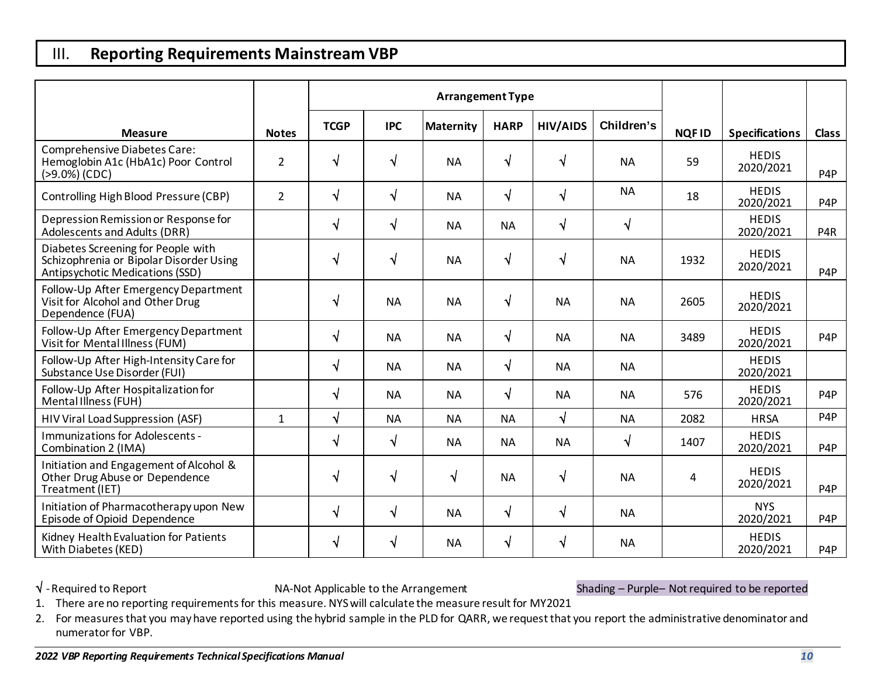|                                                                                                                         |                |               |            | <b>Arrangement Type</b> |             |                 |            |              |                           |                  |
|-------------------------------------------------------------------------------------------------------------------------|----------------|---------------|------------|-------------------------|-------------|-----------------|------------|--------------|---------------------------|------------------|
| <b>Measure</b>                                                                                                          | <b>Notes</b>   | <b>TCGP</b>   | <b>IPC</b> | <b>Maternity</b>        | <b>HARP</b> | <b>HIV/AIDS</b> | Children's | <b>NQFID</b> | <b>Specifications</b>     | <b>Class</b>     |
| <b>Comprehensive Diabetes Care:</b><br>Hemoglobin A1c (HbA1c) Poor Control<br>(>9.0%) (CDC)                             | $\overline{2}$ | $\sqrt{ }$    | $\sqrt{}$  | <b>NA</b>               | $\sqrt{}$   | $\sqrt{ }$      | <b>NA</b>  | 59           | <b>HEDIS</b><br>2020/2021 | P <sub>4</sub> P |
| Controlling High Blood Pressure (CBP)                                                                                   | $\overline{2}$ | $\sqrt{ }$    | √          | <b>NA</b>               | $\sqrt{ }$  | $\sqrt{ }$      | <b>NA</b>  | 18           | <b>HEDIS</b><br>2020/2021 | P4P              |
| Depression Remission or Response for<br>Adolescents and Adults (DRR)                                                    |                | √             | √          | <b>NA</b>               | <b>NA</b>   | $\sqrt{ }$      | √          |              | <b>HEDIS</b><br>2020/2021 | P <sub>4</sub> R |
| Diabetes Screening for People with<br>Schizophrenia or Bipolar Disorder Using<br><b>Antipsychotic Medications (SSD)</b> |                | $\mathcal{N}$ | $\sqrt{}$  | <b>NA</b>               | $\sqrt{}$   | $\sqrt{}$       | <b>NA</b>  | 1932         | <b>HEDIS</b><br>2020/2021 | P <sub>4</sub> P |
| Follow-Up After Emergency Department<br>Visit for Alcohol and Other Drug<br>Dependence (FUA)                            |                | $\sqrt{ }$    | <b>NA</b>  | <b>NA</b>               | $\sqrt{ }$  | <b>NA</b>       | <b>NA</b>  | 2605         | <b>HEDIS</b><br>2020/2021 |                  |
| Follow-Up After Emergency Department<br>Visit for Mental Illness (FUM)                                                  |                | $\sqrt{ }$    | <b>NA</b>  | <b>NA</b>               | $\sqrt{ }$  | <b>NA</b>       | <b>NA</b>  | 3489         | <b>HEDIS</b><br>2020/2021 | P4P              |
| Follow-Up After High-Intensity Care for<br>Substance Use Disorder (FUI)                                                 |                | $\sqrt{ }$    | <b>NA</b>  | <b>NA</b>               | $\sqrt{}$   | <b>NA</b>       | <b>NA</b>  |              | <b>HEDIS</b><br>2020/2021 |                  |
| Follow-Up After Hospitalization for<br>Mental Illness (FUH)                                                             |                | $\sqrt{ }$    | <b>NA</b>  | <b>NA</b>               | $\sqrt{ }$  | <b>NA</b>       | <b>NA</b>  | 576          | <b>HEDIS</b><br>2020/2021 | P4P              |
| HIV Viral Load Suppression (ASF)                                                                                        | $\mathbf{1}$   | $\sqrt{ }$    | <b>NA</b>  | <b>NA</b>               | <b>NA</b>   | $\sqrt{ }$      | <b>NA</b>  | 2082         | <b>HRSA</b>               | P <sub>4</sub> P |
| <b>Immunizations for Adolescents -</b><br>Combination 2 (IMA)                                                           |                | $\sqrt{ }$    | √          | <b>NA</b>               | <b>NA</b>   | <b>NA</b>       | $\sqrt{ }$ | 1407         | <b>HEDIS</b><br>2020/2021 | P <sub>4</sub> P |
| Initiation and Engagement of Alcohol &<br>Other Drug Abuse or Dependence<br>Treatment (IET)                             |                | $\sqrt{ }$    | $\sqrt{}$  | $\sqrt{ }$              | <b>NA</b>   | $\sqrt{ }$      | <b>NA</b>  | 4            | <b>HEDIS</b><br>2020/2021 | P <sub>4</sub> P |
| Initiation of Pharmacotherapy upon New<br>Episode of Opioid Dependence                                                  |                | $\sqrt{ }$    | $\sqrt{ }$ | <b>NA</b>               | $\sqrt{}$   | $\sqrt{ }$      | <b>NA</b>  |              | <b>NYS</b><br>2020/2021   | P <sub>4</sub> P |
| Kidney Health Evaluation for Patients<br>With Diabetes (KED)                                                            |                | $\sqrt{ }$    | √          | <b>NA</b>               | $\sqrt{ }$  | N               | <b>NA</b>  |              | <b>HEDIS</b><br>2020/2021 | P <sub>4</sub> P |

√ - Required to Report NA-Not Applicable to the Arrangement Shading – Purple– Not required to be reported

1. There are no reporting requirements for this measure. NYS will calculate the measure result for MY2021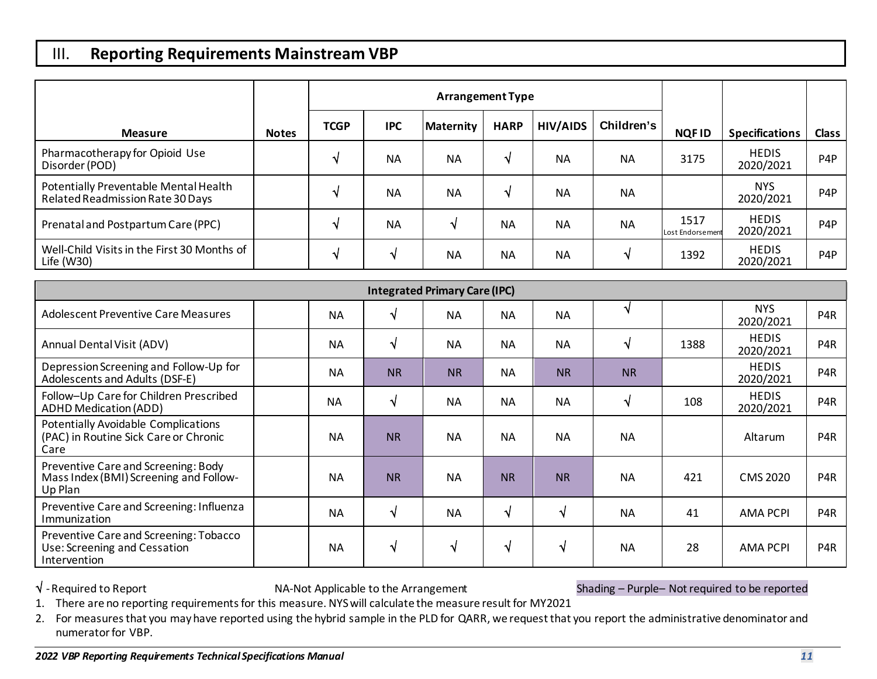|                                                                           |              |             |            | <b>Arrangement Type</b> |             |                 |            |                          |                           |                  |
|---------------------------------------------------------------------------|--------------|-------------|------------|-------------------------|-------------|-----------------|------------|--------------------------|---------------------------|------------------|
| <b>Measure</b>                                                            | <b>Notes</b> | <b>TCGP</b> | <b>IPC</b> | Maternity               | <b>HARP</b> | <b>HIV/AIDS</b> | Children's | <b>NQFID</b>             | <b>Specifications</b>     | <b>Class</b>     |
| Pharmacotherapy for Opioid Use<br>Disorder (POD)                          |              | N           | <b>NA</b>  | <b>NA</b>               |             | <b>NA</b>       | <b>NA</b>  | 3175                     | <b>HEDIS</b><br>2020/2021 | P4P              |
| Potentially Preventable Mental Health<br>Related Readmission Rate 30 Days |              | N           | <b>NA</b>  | <b>NA</b>               |             | <b>NA</b>       | <b>NA</b>  |                          | <b>NYS</b><br>2020/2021   | P <sub>4</sub> P |
| Prenatal and Postpartum Care (PPC)                                        |              | N           | <b>NA</b>  |                         | <b>NA</b>   | <b>NA</b>       | <b>NA</b>  | 1517<br>Lost Endorsement | <b>HEDIS</b><br>2020/2021 | P4P              |
| Well-Child Visits in the First 30 Months of<br>Life $(W30)$               |              | N           |            | <b>NA</b>               | <b>NA</b>   | <b>NA</b>       | А.         | 1392                     | <b>HEDIS</b><br>2020/2021 | P4P              |

| <b>Integrated Primary Care (IPC)</b>                                                        |  |           |           |           |           |           |           |      |                           |                  |  |  |  |
|---------------------------------------------------------------------------------------------|--|-----------|-----------|-----------|-----------|-----------|-----------|------|---------------------------|------------------|--|--|--|
| <b>Adolescent Preventive Care Measures</b>                                                  |  | <b>NA</b> | V         | <b>NA</b> | <b>NA</b> | <b>NA</b> |           |      | <b>NYS</b><br>2020/2021   | P4R              |  |  |  |
| Annual Dental Visit (ADV)                                                                   |  | <b>NA</b> | V         | <b>NA</b> | <b>NA</b> | <b>NA</b> | N         | 1388 | <b>HEDIS</b><br>2020/2021 | P4R              |  |  |  |
| Depression Screening and Follow-Up for<br>Adolescents and Adults (DSF-E)                    |  | <b>NA</b> | <b>NR</b> | <b>NR</b> | <b>NA</b> | <b>NR</b> | <b>NR</b> |      | <b>HEDIS</b><br>2020/2021 | P4R              |  |  |  |
| Follow-Up Care for Children Prescribed<br><b>ADHD Medication (ADD)</b>                      |  | <b>NA</b> | V         | <b>NA</b> | <b>NA</b> | <b>NA</b> | N         | 108  | <b>HEDIS</b><br>2020/2021 | P4R              |  |  |  |
| <b>Potentially Avoidable Complications</b><br>(PAC) in Routine Sick Care or Chronic<br>Care |  | <b>NA</b> | <b>NR</b> | <b>NA</b> | <b>NA</b> | <b>NA</b> | <b>NA</b> |      | Altarum                   | P <sub>4</sub> R |  |  |  |
| Preventive Care and Screening: Body<br>Mass Index (BMI) Screening and Follow-<br>Up Plan    |  | <b>NA</b> | <b>NR</b> | <b>NA</b> | <b>NR</b> | <b>NR</b> | <b>NA</b> | 421  | CMS 2020                  | P <sub>4</sub> R |  |  |  |
| Preventive Care and Screening: Influenza<br>Immunization                                    |  | <b>NA</b> | ึง        | <b>NA</b> | N         | N         | <b>NA</b> | 41   | <b>AMA PCPI</b>           | P4R              |  |  |  |
| Preventive Care and Screening: Tobacco<br>Use: Screening and Cessation<br>Intervention      |  | <b>NA</b> | N         | N         | N         | N         | <b>NA</b> | 28   | <b>AMA PCPI</b>           | P4R              |  |  |  |

√ - Required to Report NA-Not Applicable to the Arrangement Shading – Purple– Not required to be reported

1. There are no reporting requirements for this measure. NYS will calculate the measure result for MY2021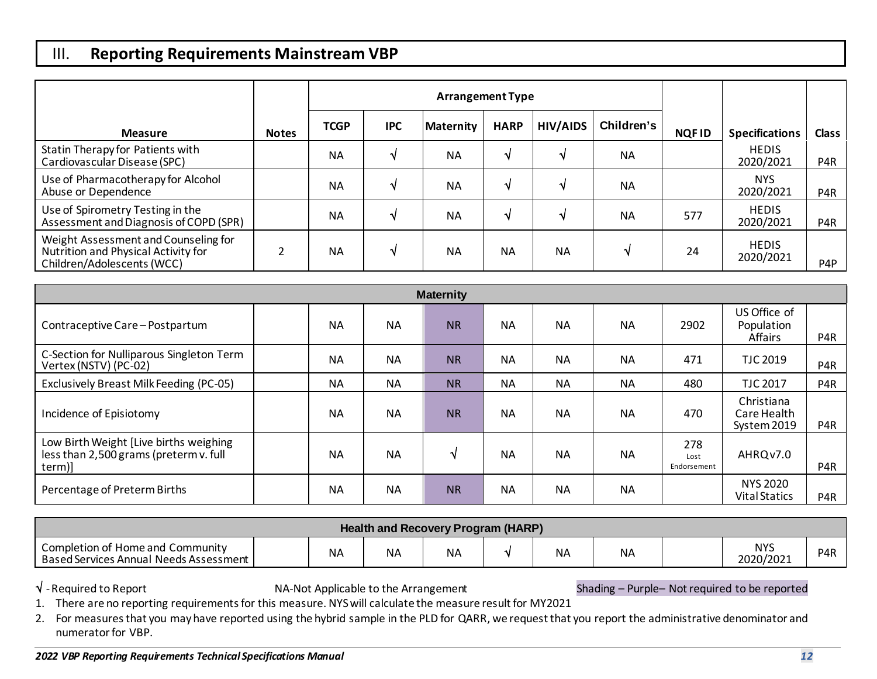|                                                                                                           |              |             |            | <b>Arrangement Type</b> |             |                 |            |              |                           |              |
|-----------------------------------------------------------------------------------------------------------|--------------|-------------|------------|-------------------------|-------------|-----------------|------------|--------------|---------------------------|--------------|
| <b>Measure</b>                                                                                            | <b>Notes</b> | <b>TCGP</b> | <b>IPC</b> | <b>IMaternity</b>       | <b>HARP</b> | <b>HIV/AIDS</b> | Children's | <b>NQFID</b> | <b>Specifications</b>     | <b>Class</b> |
| Statin Therapy for Patients with<br>Cardiovascular Disease (SPC)                                          |              | <b>NA</b>   |            | <b>NA</b>               |             |                 | <b>NA</b>  |              | <b>HEDIS</b><br>2020/2021 | P4R          |
| Use of Pharmacotherapy for Alcohol<br>Abuse or Dependence                                                 |              | <b>NA</b>   |            | <b>NA</b>               |             |                 | <b>NA</b>  |              | <b>NYS</b><br>2020/2021   | P4R          |
| Use of Spirometry Testing in the<br>Assessment and Diagnosis of COPD (SPR)                                |              | <b>NA</b>   |            | <b>NA</b>               |             |                 | <b>NA</b>  | 577          | <b>HEDIS</b><br>2020/2021 | P4R          |
| Weight Assessment and Counseling for<br>Nutrition and Physical Activity for<br>Children/Adolescents (WCC) |              | <b>NA</b>   |            | <b>NA</b>               | <b>NA</b>   | <b>NA</b>       | ۰          | 24           | <b>HEDIS</b><br>2020/2021 | P4P          |

| <b>Maternity</b>                                                                           |  |           |           |           |           |           |           |                            |                                          |     |  |  |  |
|--------------------------------------------------------------------------------------------|--|-----------|-----------|-----------|-----------|-----------|-----------|----------------------------|------------------------------------------|-----|--|--|--|
| Contraceptive Care - Postpartum                                                            |  | <b>NA</b> | <b>NA</b> | <b>NR</b> | <b>NA</b> | <b>NA</b> | <b>NA</b> | 2902                       | US Office of<br>Population<br>Affairs    | P4R |  |  |  |
| C-Section for Nulliparous Singleton Term<br>Vertex (NSTV) (PC-02)                          |  | <b>NA</b> | <b>NA</b> | <b>NR</b> | <b>NA</b> | <b>NA</b> | <b>NA</b> | 471                        | <b>TJC 2019</b>                          | P4R |  |  |  |
| Exclusively Breast Milk Feeding (PC-05)                                                    |  | <b>NA</b> | <b>NA</b> | <b>NR</b> | <b>NA</b> | <b>NA</b> | <b>NA</b> | 480                        | <b>TJC 2017</b>                          | P4R |  |  |  |
| Incidence of Episiotomy                                                                    |  | <b>NA</b> | <b>NA</b> | <b>NR</b> | <b>NA</b> | <b>NA</b> | <b>NA</b> | 470                        | Christiana<br>Care Health<br>System 2019 | P4R |  |  |  |
| Low Birth Weight [Live births weighing<br>less than 2,500 grams (preterm v. full<br>term)] |  | <b>NA</b> | <b>NA</b> | N         | <b>NA</b> | <b>NA</b> | <b>NA</b> | 278<br>Lost<br>Endorsement | AHRQv7.0                                 | P4R |  |  |  |
| Percentage of Preterm Births                                                               |  | <b>NA</b> | <b>NA</b> | <b>NR</b> | <b>NA</b> | <b>NA</b> | <b>NA</b> |                            | NYS 2020<br><b>Vital Statics</b>         | P4R |  |  |  |

| <b>Health and Recovery Program (HARP)</b>                                  |  |           |           |           |  |           |           |  |                         |     |  |  |
|----------------------------------------------------------------------------|--|-----------|-----------|-----------|--|-----------|-----------|--|-------------------------|-----|--|--|
| Completion of Home and Community<br>Based Services Annual Needs Assessment |  | <b>NA</b> | <b>NA</b> | <b>NA</b> |  | <b>NA</b> | <b>NA</b> |  | <b>NYS</b><br>2020/2021 | P4R |  |  |

√ - Required to Report NA-Not Applicable to the Arrangement Shading – Purple– Not required to be reported

1. There are no reporting requirements for this measure. NYS will calculate the measure result for MY2021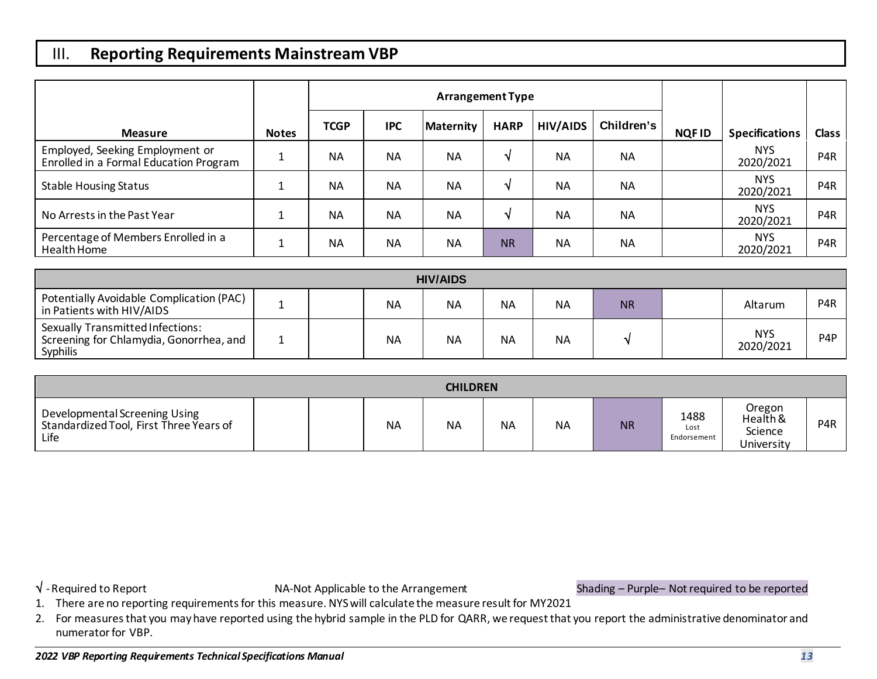|                                                                           |              |             |            | <b>Arrangement Type</b> |             |                 |            |              |                         |                  |
|---------------------------------------------------------------------------|--------------|-------------|------------|-------------------------|-------------|-----------------|------------|--------------|-------------------------|------------------|
| <b>Measure</b>                                                            | <b>Notes</b> | <b>TCGP</b> | <b>IPC</b> | Maternity               | <b>HARP</b> | <b>HIV/AIDS</b> | Children's | <b>NQFID</b> | <b>Specifications</b>   | <b>Class</b>     |
| Employed, Seeking Employment or<br>Enrolled in a Formal Education Program |              | <b>NA</b>   | <b>NA</b>  | <b>NA</b>               | N           | <b>NA</b>       | <b>NA</b>  |              | <b>NYS</b><br>2020/2021 | P <sub>4</sub> R |
| <b>Stable Housing Status</b>                                              |              | <b>NA</b>   | <b>NA</b>  | <b>NA</b>               | N           | <b>NA</b>       | <b>NA</b>  |              | <b>NYS</b><br>2020/2021 | P <sub>4</sub> R |
| No Arrests in the Past Year                                               |              | <b>NA</b>   | <b>NA</b>  | <b>NA</b>               | N           | <b>NA</b>       | <b>NA</b>  |              | <b>NYS</b><br>2020/2021 | P <sub>4</sub> R |
| Percentage of Members Enrolled in a<br>Health Home                        |              | <b>NA</b>   | <b>NA</b>  | <b>NA</b>               | <b>NR</b>   | <b>NA</b>       | <b>NA</b>  |              | <b>NYS</b><br>2020/2021 | P <sub>4</sub> R |

| <b>HIV/AIDS</b>                                                                         |  |  |           |           |           |           |           |  |                         |     |  |  |
|-----------------------------------------------------------------------------------------|--|--|-----------|-----------|-----------|-----------|-----------|--|-------------------------|-----|--|--|
| Potentially Avoidable Complication (PAC)<br>in Patients with HIV/AIDS                   |  |  | <b>NA</b> | <b>NA</b> | <b>NA</b> | <b>NA</b> | <b>NR</b> |  | Altarum                 | P4R |  |  |
| Sexually Transmitted Infections:<br>Screening for Chlamydia, Gonorrhea, and<br>Syphilis |  |  | <b>NA</b> | <b>NA</b> | <b>NA</b> | <b>NA</b> |           |  | <b>NYS</b><br>2020/2021 | P4P |  |  |

| <b>CHILDREN</b>                                                                  |  |  |           |           |           |           |           |                             |                                             |     |  |
|----------------------------------------------------------------------------------|--|--|-----------|-----------|-----------|-----------|-----------|-----------------------------|---------------------------------------------|-----|--|
| Developmental Screening Using<br>Standardized Tool, First Three Years of<br>Life |  |  | <b>NA</b> | <b>NA</b> | <b>NA</b> | <b>NA</b> | <b>NR</b> | 1488<br>Lost<br>Endorsement | Oregon<br>Health &<br>Science<br>University | P4R |  |

√ - Required to Report NA-Not Applicable to the Arrangement Shading – Purple– Not required to be reported

1. There are no reporting requirements for this measure. NYS will calculate the measure result for MY2021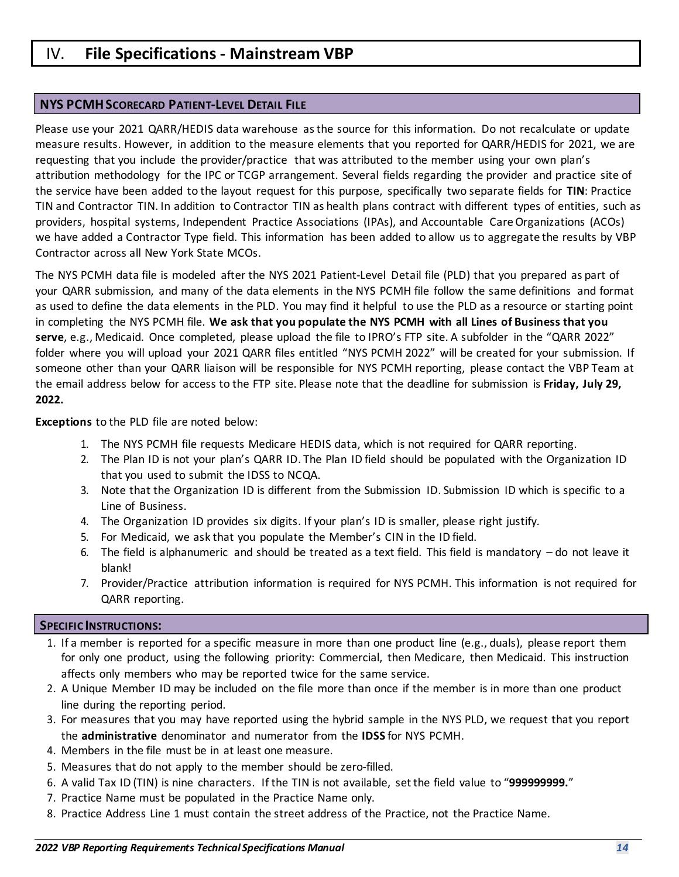#### <span id="page-13-0"></span>**NYS PCMHSCORECARD PATIENT-LEVEL DETAIL FILE**

Please use your 2021 QARR/HEDIS data warehouse as the source for this information. Do not recalculate or update measure results. However, in addition to the measure elements that you reported for QARR/HEDIS for 2021, we are requesting that you include the provider/practice that was attributed to the member using your own plan's attribution methodology for the IPC or TCGP arrangement. Several fields regarding the provider and practice site of the service have been added to the layout request for this purpose, specifically two separate fields for **TIN**: Practice TIN and Contractor TIN. In addition to Contractor TIN as health plans contract with different types of entities, such as providers, hospital systems, Independent Practice Associations (IPAs), and Accountable Care Organizations (ACOs) we have added a Contractor Type field. This information has been added to allow us to aggregate the results by VBP Contractor across all New York State MCOs.

The NYS PCMH data file is modeled after the NYS 2021 Patient-Level Detail file (PLD) that you prepared as part of your QARR submission, and many of the data elements in the NYS PCMH file follow the same definitions and format as used to define the data elements in the PLD. You may find it helpful to use the PLD as a resource or starting point in completing the NYS PCMH file. **We ask that you populate the NYS PCMH with all Lines of Business that you serve**, e.g., Medicaid. Once completed, please upload the file to IPRO's FTP site. A subfolder in the "QARR 2022" folder where you will upload your 2021 QARR files entitled "NYS PCMH 2022" will be created for your submission. If someone other than your QARR liaison will be responsible for NYS PCMH reporting, please contact the VBP Team at the email address below for access to the FTP site. Please note that the deadline for submission is **Friday, July 29, 2022.**

**Exceptions** to the PLD file are noted below:

- 1. The NYS PCMH file requests Medicare HEDIS data, which is not required for QARR reporting.
- 2. The Plan ID is not your plan's QARR ID. The Plan ID field should be populated with the Organization ID that you used to submit the IDSS to NCQA.
- 3. Note that the Organization ID is different from the Submission ID. Submission ID which is specific to a Line of Business.
- 4. The Organization ID provides six digits. If your plan's ID is smaller, please right justify.
- 5. For Medicaid, we ask that you populate the Member's CIN in the ID field.
- 6. The field is alphanumeric and should be treated as a text field. This field is mandatory do not leave it blank!
- 7. Provider/Practice attribution information is required for NYS PCMH. This information is not required for QARR reporting.

#### **SPECIFIC INSTRUCTIONS:**

- 1. If a member is reported for a specific measure in more than one product line (e.g., duals), please report them for only one product, using the following priority: Commercial, then Medicare, then Medicaid. This instruction affects only members who may be reported twice for the same service.
- 2. A Unique Member ID may be included on the file more than once if the member is in more than one product line during the reporting period.
- 3. For measures that you may have reported using the hybrid sample in the NYS PLD, we request that you report the **administrative** denominator and numerator from the **IDSS** for NYS PCMH.
- 4. Members in the file must be in at least one measure.
- 5. Measures that do not apply to the member should be zero-filled.
- 6. A valid Tax ID (TIN) is nine characters. If the TIN is not available, set the field value to "**999999999.**"
- 7. Practice Name must be populated in the Practice Name only.
- 8. Practice Address Line 1 must contain the street address of the Practice, not the Practice Name.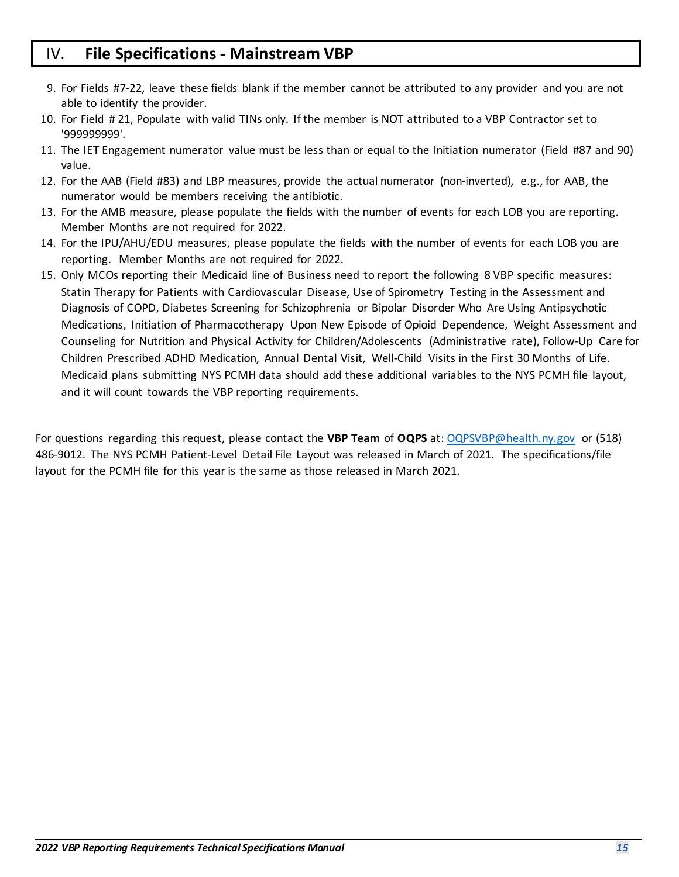- 9. For Fields #7-22, leave these fields blank if the member cannot be attributed to any provider and you are not able to identify the provider.
- 10. For Field # 21, Populate with valid TINs only. If the member is NOT attributed to a VBP Contractor set to '999999999'.
- 11. The IET Engagement numerator value must be less than or equal to the Initiation numerator (Field #87 and 90) value.
- 12. For the AAB (Field #83) and LBP measures, provide the actual numerator (non-inverted), e.g., for AAB, the numerator would be members receiving the antibiotic.
- 13. For the AMB measure, please populate the fields with the number of events for each LOB you are reporting. Member Months are not required for 2022.
- 14. For the IPU/AHU/EDU measures, please populate the fields with the number of events for each LOB you are reporting. Member Months are not required for 2022.
- 15. Only MCOs reporting their Medicaid line of Business need to report the following 8 VBP specific measures: Statin Therapy for Patients with Cardiovascular Disease, Use of Spirometry Testing in the Assessment and Diagnosis of COPD, Diabetes Screening for Schizophrenia or Bipolar Disorder Who Are Using Antipsychotic Medications, Initiation of Pharmacotherapy Upon New Episode of Opioid Dependence, Weight Assessment and Counseling for Nutrition and Physical Activity for Children/Adolescents (Administrative rate), Follow-Up Care for Children Prescribed ADHD Medication, Annual Dental Visit, Well-Child Visits in the First 30 Months of Life. Medicaid plans submitting NYS PCMH data should add these additional variables to the NYS PCMH file layout, and it will count towards the VBP reporting requirements.

For questions regarding this request, please contact the **VBP Team** of **OQPS** at: [OQPSVBP@health.ny.gov](mailto:OQPSVBP@health.ny.gov) or (518) 486-9012. The NYS PCMH Patient-Level Detail File Layout was released in March of 2021. The specifications/file layout for the PCMH file for this year is the same as those released in March 2021.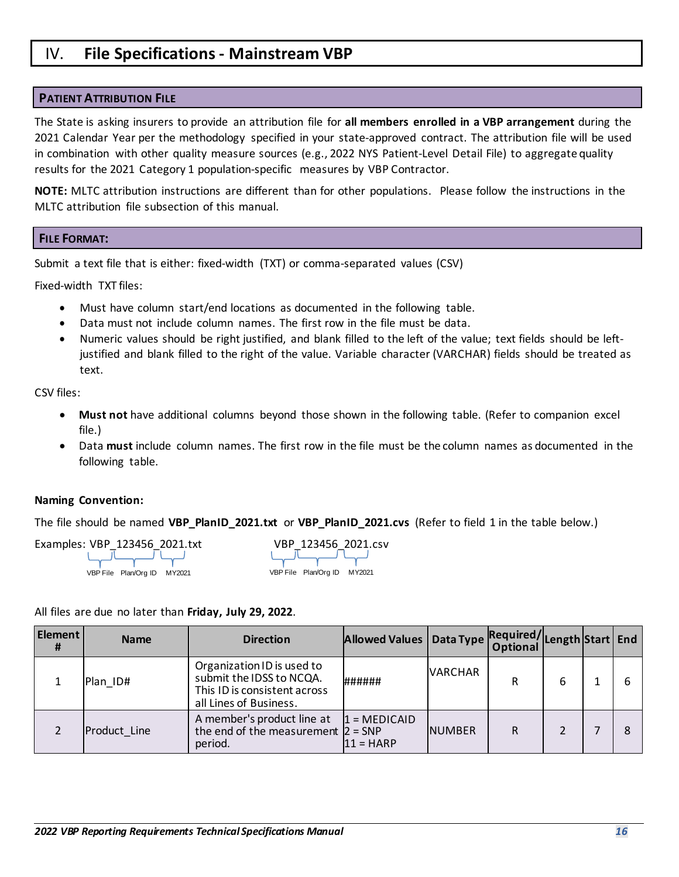#### <span id="page-15-0"></span>**PATIENT ATTRIBUTION FILE**

The State is asking insurers to provide an attribution file for **all members enrolled in a VBP arrangement** during the 2021 Calendar Year per the methodology specified in your state-approved contract. The attribution file will be used in combination with other quality measure sources (e.g., 2022 NYS Patient-Level Detail File) to aggregate quality results for the 2021 Category 1 population-specific measures by VBP Contractor.

**NOTE:** MLTC attribution instructions are different than for other populations. Please follow the instructions in the MLTC attribution file subsection of this manual.

#### <span id="page-15-1"></span>**FILE FORMAT:**

Submit a text file that is either: fixed-width (TXT) or comma-separated values (CSV)

Fixed-width TXT files:

- Must have column start/end locations as documented in the following table.
- Data must not include column names. The first row in the file must be data.
- Numeric values should be right justified, and blank filled to the left of the value; text fields should be leftjustified and blank filled to the right of the value. Variable character (VARCHAR) fields should be treated as text.

CSV files:

- **Must not** have additional columns beyond those shown in the following table. (Refer to companion excel file.)
- Data **must** include column names. The first row in the file must be the column names as documented in the following table.

#### **Naming Convention:**

The file should be named **VBP\_PlanID\_2021.txt** or **VBP\_PlanID\_2021.cvs** (Refer to field 1 in the table below.)

Examples: VBP\_123456\_2021.txt VBP\_123456\_2021.csv VBP File Plan/Org ID MY2021 VBP File Plan/Org ID MY2021

#### All files are due no later than **Friday, July 29, 2022**.

| Element <sup>V</sup><br># | <b>Name</b>  | <b>Direction</b>                                                                                                 | Allowed Values Data Type Required/Length Start End |                |   |   |   |
|---------------------------|--------------|------------------------------------------------------------------------------------------------------------------|----------------------------------------------------|----------------|---|---|---|
|                           | Plan ID#     | Organization ID is used to<br>submit the IDSS to NCQA.<br>This ID is consistent across<br>all Lines of Business. | ######                                             | <b>VARCHAR</b> | R | 6 |   |
|                           | Product Line | A member's product line at $1 = \text{MEDICAID}$<br>the end of the measurement $2 = SNP$<br>period.              | $11 = HARP$                                        | <b>INUMBER</b> |   |   | 8 |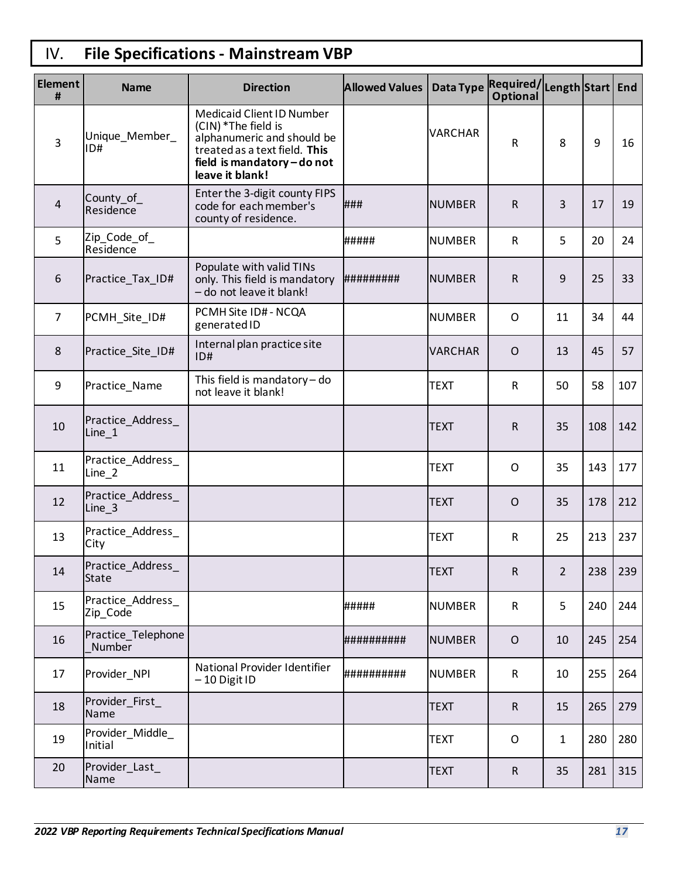| IV.                 |                                   | <b>File Specifications - Mainstream VBP</b>                                                                                                                           |                       |                |                              |                    |     |     |
|---------------------|-----------------------------------|-----------------------------------------------------------------------------------------------------------------------------------------------------------------------|-----------------------|----------------|------------------------------|--------------------|-----|-----|
| <b>Element</b><br># | <b>Name</b>                       | <b>Direction</b>                                                                                                                                                      | <b>Allowed Values</b> | Data Type      | Required/<br><b>Optional</b> | Length Start   End |     |     |
| $\overline{3}$      | Unique_Member_<br>ID#             | <b>Medicaid Client ID Number</b><br>(CIN) *The field is<br>alphanumeric and should be<br>treated as a text field. This<br>field is mandatory-donot<br>leave it blank! |                       | <b>VARCHAR</b> | $\mathsf{R}$                 | 8                  | 9   | 16  |
| $\overline{4}$      | County_of<br>Residence            | Enter the 3-digit county FIPS<br>code for each member's<br>county of residence.                                                                                       | ###                   | <b>NUMBER</b>  | $\mathsf{R}$                 | 3                  | 17  | 19  |
| 5                   | Zip_Code_of_<br>Residence         |                                                                                                                                                                       | #####                 | <b>NUMBER</b>  | $\mathsf{R}$                 | 5                  | 20  | 24  |
| 6                   | Practice_Tax_ID#                  | Populate with valid TINs<br>only. This field is mandatory<br>- do not leave it blank!                                                                                 | #########             | <b>NUMBER</b>  | R                            | 9                  | 25  | 33  |
| $\overline{7}$      | PCMH_Site_ID#                     | PCMH Site ID# - NCQA<br>generated ID                                                                                                                                  |                       | <b>NUMBER</b>  | $\circ$                      | 11                 | 34  | 44  |
| $\,8\,$             | Practice_Site_ID#                 | Internal plan practice site<br>ID#                                                                                                                                    |                       | <b>VARCHAR</b> | $\mathsf{O}$                 | 13                 | 45  | 57  |
| 9                   | Practice_Name                     | This field is mandatory-do<br>not leave it blank!                                                                                                                     |                       | <b>TEXT</b>    | R                            | 50                 | 58  | 107 |
| 10                  | Practice_Address_<br>$Line_1$     |                                                                                                                                                                       |                       | <b>TEXT</b>    | $\mathsf{R}$                 | 35                 | 108 | 142 |
| 11                  | Practice_Address_<br>$Line_2$     |                                                                                                                                                                       |                       | <b>TEXT</b>    | O                            | 35                 | 143 | 177 |
| 12                  | Practice_Address_<br>$Line_3$     |                                                                                                                                                                       |                       | <b>TEXT</b>    | O                            | 35                 | 178 | 212 |
| 13                  | Practice_Address_<br>City         |                                                                                                                                                                       |                       | <b>TEXT</b>    | R                            | 25                 | 213 | 237 |
| 14                  | Practice_Address_<br><b>State</b> |                                                                                                                                                                       |                       | <b>TEXT</b>    | ${\sf R}$                    | $\overline{2}$     | 238 | 239 |
| 15                  | Practice_Address_<br>Zip_Code     |                                                                                                                                                                       | #####                 | <b>NUMBER</b>  | R                            | 5                  | 240 | 244 |
| 16                  | Practice_Telephone<br>Number      |                                                                                                                                                                       | ##########            | <b>NUMBER</b>  | $\circ$                      | 10                 | 245 | 254 |
| 17                  | Provider NPI                      | National Provider Identifier<br>$-10$ Digit ID                                                                                                                        | ##########            | <b>NUMBER</b>  | R                            | 10                 | 255 | 264 |
| 18                  | Provider_First_<br>Name           |                                                                                                                                                                       |                       | <b>TEXT</b>    | $\mathsf{R}$                 | 15                 | 265 | 279 |
| 19                  | Provider_Middle_<br>Initial       |                                                                                                                                                                       |                       | <b>TEXT</b>    | O                            | $\mathbf{1}$       | 280 | 280 |
| 20                  | Provider_Last_<br>Name            |                                                                                                                                                                       |                       | <b>TEXT</b>    | $\mathsf R$                  | 35                 | 281 | 315 |

Г

٦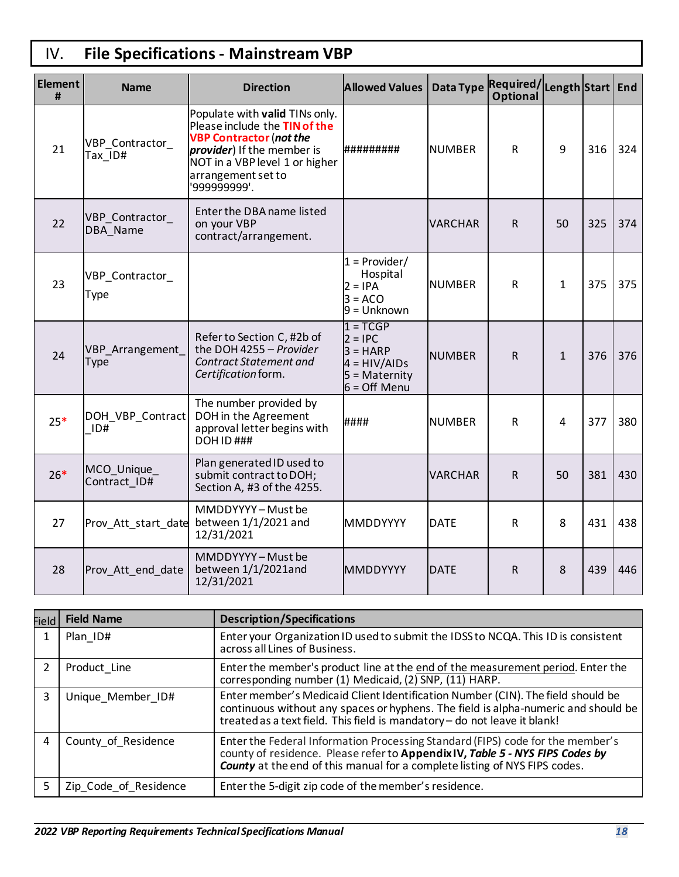| IV.                 |                                | <b>File Specifications - Mainstream VBP</b>                                                                                                                                                             |                                                                                              |                |                                                |              |     |     |
|---------------------|--------------------------------|---------------------------------------------------------------------------------------------------------------------------------------------------------------------------------------------------------|----------------------------------------------------------------------------------------------|----------------|------------------------------------------------|--------------|-----|-----|
| <b>Element</b><br># | <b>Name</b>                    | <b>Direction</b>                                                                                                                                                                                        | <b>Allowed Values</b>                                                                        | Data Type      | Required/Length Start   End<br><b>Optional</b> |              |     |     |
| 21                  | VBP_Contractor_<br>Tax ID#     | Populate with valid TINs only.<br>Please include the TIN of the<br><b>VBP Contractor (not the</b><br>provider) If the member is<br>NOT in a VBP level 1 or higher<br>arrangement set to<br>'999999999'. | #########                                                                                    | <b>NUMBER</b>  | $\mathsf{R}$                                   | 9            | 316 | 324 |
| 22                  | VBP_Contractor_<br>DBA_Name    | Enter the DBA name listed<br>on your VBP<br>contract/arrangement.                                                                                                                                       |                                                                                              | <b>VARCHAR</b> | R.                                             | 50           | 325 | 374 |
| 23                  | VBP_Contractor_<br><b>Type</b> |                                                                                                                                                                                                         | $1 =$ Provider/<br>Hospital<br>$2 = IPA$<br>$3 = ACO$<br>$9 =$ Unknown                       | <b>NUMBER</b>  | $\mathsf{R}$                                   | $\mathbf{1}$ | 375 | 375 |
| 24                  | VBP_Arrangement<br><b>Type</b> | Refer to Section C, #2b of<br>the DOH 4255 - Provider<br><b>Contract Statement and</b><br>Certification form.                                                                                           | $1 = TCGP$<br>$2 = IPC$<br>$3 = HARP$<br>$4 = HIV/AIDS$<br>$5 =$ Maternity<br>$6 =$ Off Menu | <b>NUMBER</b>  | R.                                             | $\mathbf{1}$ | 376 | 376 |
| $25*$               | DOH_VBP_Contract<br>ID#        | The number provided by<br>DOH in the Agreement<br>approval letter begins with<br>DOH ID ###                                                                                                             | ####                                                                                         | <b>NUMBER</b>  | $\mathsf{R}$                                   | 4            | 377 | 380 |
| $26*$               | MCO_Unique_<br>Contract ID#    | Plan generated ID used to<br>submit contract to DOH;<br>Section A, #3 of the 4255.                                                                                                                      |                                                                                              | <b>VARCHAR</b> | $\mathsf R$                                    | 50           | 381 | 430 |
| 27                  | Prov_Att_start_date            | MMDDYYYY-Must be<br>between 1/1/2021 and<br>12/31/2021                                                                                                                                                  | <b>MMDDYYYY</b>                                                                              | <b>DATE</b>    | R                                              | 8            | 431 | 438 |
| 28                  | Prov_Att_end_date              | MMDDYYYY-Must be<br>between 1/1/2021and<br>12/31/2021                                                                                                                                                   | <b>MMDDYYYY</b>                                                                              | <b>DATE</b>    | $\mathsf{R}$                                   | 8            | 439 | 446 |

| Field | <b>Field Name</b>     | <b>Description/Specifications</b>                                                                                                                                                                                                                 |
|-------|-----------------------|---------------------------------------------------------------------------------------------------------------------------------------------------------------------------------------------------------------------------------------------------|
|       | Plan ID#              | Enter your Organization ID used to submit the IDSS to NCQA. This ID is consistent<br>across all Lines of Business.                                                                                                                                |
|       | Product Line          | Enter the member's product line at the end of the measurement period. Enter the<br>corresponding number (1) Medicaid, (2) SNP, (11) HARP.                                                                                                         |
| 3     | Unique Member ID#     | Enter member's Medicaid Client Identification Number (CIN). The field should be<br>continuous without any spaces or hyphens. The field is alpha-numeric and should be<br>treated as a text field. This field is mandatory- do not leave it blank! |
| 4     | County of Residence   | Enter the Federal Information Processing Standard (FIPS) code for the member's<br>county of residence. Please refer to Appendix IV, Table 5 - NYS FIPS Codes by<br>County at the end of this manual for a complete listing of NYS FIPS codes.     |
|       | Zip Code of Residence | Enter the 5-digit zip code of the member's residence.                                                                                                                                                                                             |

Г

٦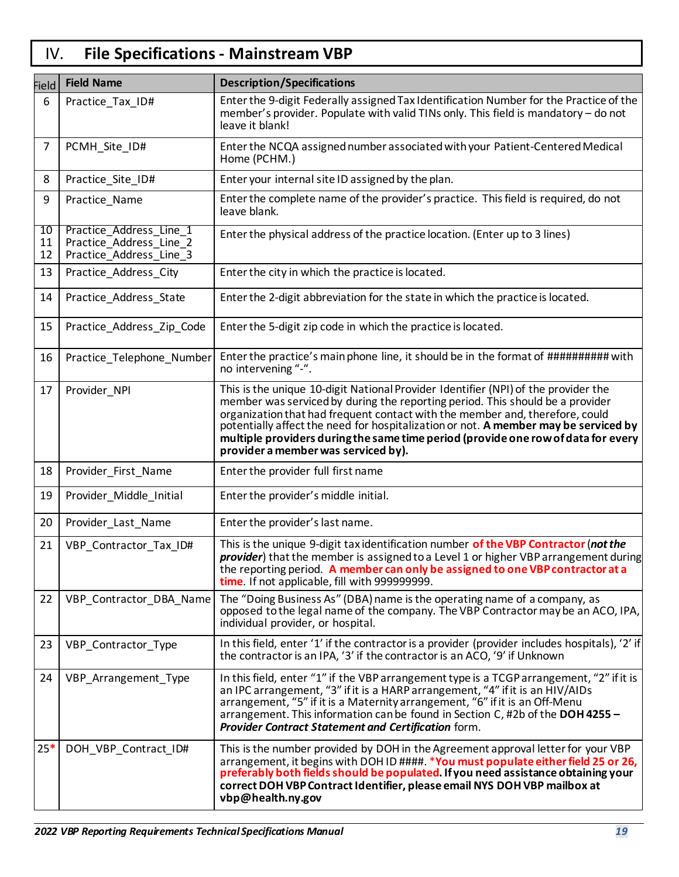#### IV. **File Specifications - Mainstream VBP** Field **Field Name Description/Specifications** 6 Practice Tax ID# Enter the 9-digit Federally assigned Tax Identification Number for the Practice of the member's provider. Populate with valid TINs only. This field is mandatory – do not leave it blank! 7 | PCMH\_Site\_ID# Enter the NCQA assigned number associated with your Patient-Centered Medical Home (PCHM.) 8 Practice Site ID# Enter your internal site ID assigned by the plan. 9 | Practice Name | Enter the complete name of the provider's practice. This field is required, do not leave blank. 10 11 12 Practice Address Line 1 Practice Address Line 2 Practice\_Address\_Line\_3 Enter the physical address of the practice location. (Enter up to 3 lines) 13 | Practice\_Address\_City | Enter the city in which the practice is located. 14 Practice\_Address\_State Enter the 2-digit abbreviation for the state in which the practice is located. 15 Practice Address Zip Code | Enter the 5-digit zip code in which the practice is located. 16 Practice\_Telephone\_Number Enter the practice's main phone line, it should be in the format of ########### with no intervening "-". 17 | Provider NPI | This is the unique 10-digit National Provider Identifier (NPI) of the provider the member was serviced by during the reporting period. This should be a provider organization that had frequent contact with the member and, therefore, could potentially affect the need for hospitalization or not. A member may be serviced by **multiple providers during the same time period (provide one row of data for every provider a member was serviced by).** 18 | Provider\_First\_Name | Enter the provider full first name

19 | Provider Middle Initial | Enter the provider's middle initial. 20 | Provider\_Last\_Name | Enter the provider's last name. 21 VBP\_Contractor\_Tax\_ID# This is the unique 9-digit tax identification number **of the VBP Contractor**(*not the*  **provider**) that the member is assigned to a Level 1 or higher VBP arrangement during the reporting period. **A member can only be assigned to one VBP contractor at a time**. If not applicable, fill with 999999999. 22 VBP Contractor DBA Name The "Doing Business As" (DBA) name is the operating name of a company, as opposed to the legal name of the company. The VBP Contractor may be an ACO, IPA, individual provider, or hospital. 23 VBP\_Contractor\_Type  $\vert$  In this field, enter '1' if the contractor is a provider (provider includes hospitals), '2' if the contractor is an IPA, '3' if the contractor is an ACO, '9' if Unknown 24 VBP Arrangement Type  $\vert$  In this field, enter "1" if the VBP arrangement type is a TCGP arrangement, "2" if it is an IPC arrangement, "3" if it is a HARParrangement, "4" if it is an HIV/AIDs arrangement, "5" if it is a Maternityarrangement, "6" if it is an Off-Menu arrangement. This information can be found in Section C, #2b of the **DOH4255 –**  *Provider Contract Statement and Certification* form.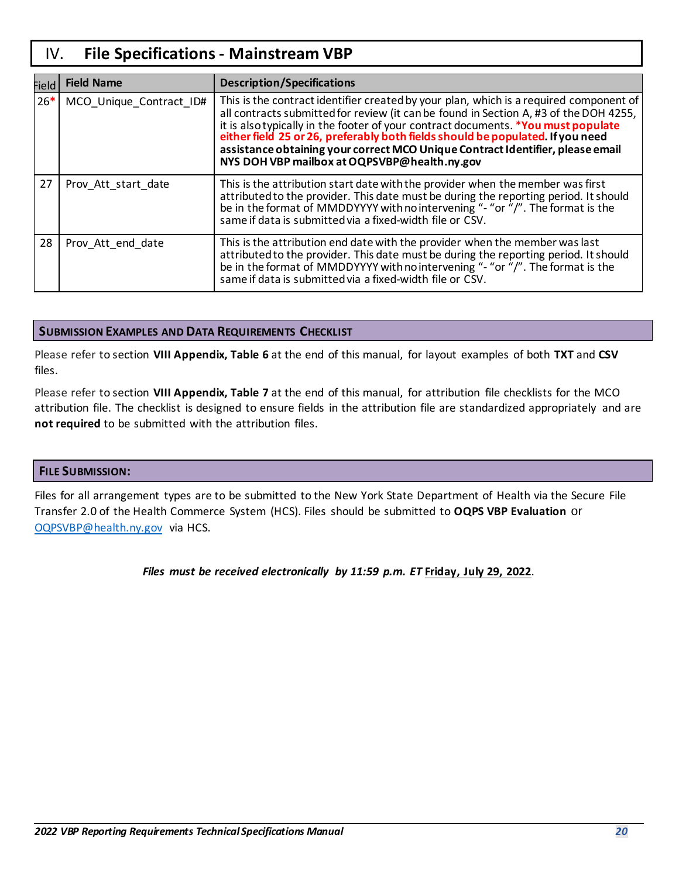| Field | <b>Field Name</b>       | <b>Description/Specifications</b>                                                                                                                                                                                                                                                                                                                                                                                                                                                        |
|-------|-------------------------|------------------------------------------------------------------------------------------------------------------------------------------------------------------------------------------------------------------------------------------------------------------------------------------------------------------------------------------------------------------------------------------------------------------------------------------------------------------------------------------|
| $26*$ | MCO Unique Contract ID# | This is the contract identifier created by your plan, which is a required component of<br>all contracts submitted for review (it can be found in Section A, #3 of the DOH 4255,<br>it is also typically in the footer of your contract documents. *You must populate<br>either field 25 or 26, preferably both fields should be populated. If you need<br>assistance obtaining your correct MCO Unique Contract Identifier, please email<br>NYS DOH VBP mailbox at OQPSVBP@health.ny.gov |
| 27    | Prov Att start date     | This is the attribution start date with the provider when the member was first<br>attributed to the provider. This date must be during the reporting period. It should<br>be in the format of MMDDYYYY with no intervening "- "or "/". The format is the<br>same if data is submitted via a fixed-width file or CSV.                                                                                                                                                                     |
| 28    | Prov Att end date       | This is the attribution end date with the provider when the member was last<br>attributed to the provider. This date must be during the reporting period. It should<br>be in the format of MMDDYYYY with no intervening "- "or "/". The format is the<br>same if data is submitted via a fixed-width file or CSV.                                                                                                                                                                        |

#### **SUBMISSION EXAMPLES AND DATA REQUIREMENTS CHECKLIST**

Please refer to section **VIII Appendix, Table 6** at the end of this manual, for layout examples of both **TXT** and **CSV** files.

Please refer to section **VIII Appendix, Table 7** at the end of this manual, for attribution file checklists for the MCO attribution file. The checklist is designed to ensure fields in the attribution file are standardized appropriately and are **not required** to be submitted with the attribution files.

#### <span id="page-19-0"></span>**FILE SUBMISSION:**

Files for all arrangement types are to be submitted to the New York State Department of Health via the Secure File Transfer 2.0 of the Health Commerce System (HCS). Files should be submitted to **OQPS VBP Evaluation** or [OQPSVBP@health.ny.gov](mailto:OQPSVBP@health.ny.gov) via HCS.

*Files must be received electronically by 11:59 p.m. ET* **Friday, July 29, 2022**.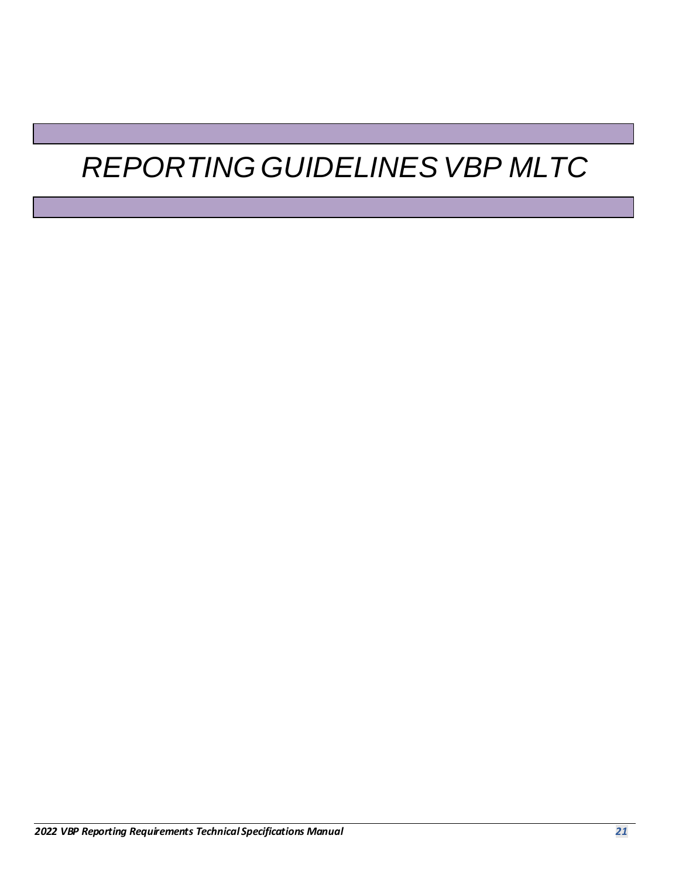## *REPORTING GUIDELINES VBP MLTC*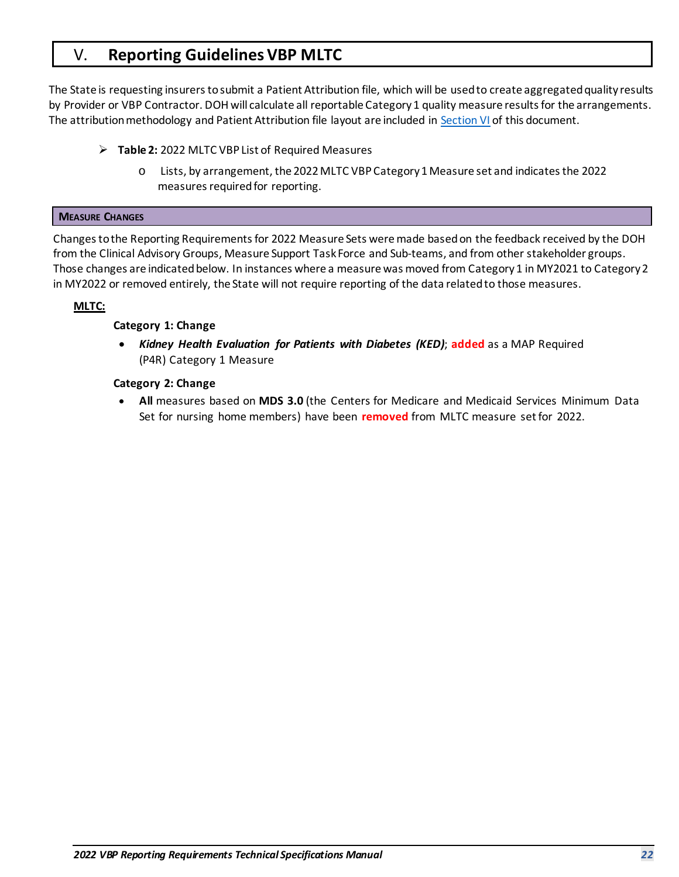## V. **Reporting Guidelines VBP MLTC**

The State is requesting insurers to submit a Patient Attribution file, which will be used to create aggregated quality results by Provider or VBP Contractor. DOH will calculate all reportable Category 1 quality measure results for the arrangements. The attribution methodology and Patient Attribution file layout are included in [Section VI](#page-23-0) of this document.

- **Table 2:** 2022 MLTC VBP List of Required Measures
	- o Lists, by arrangement, the 2022 MLTC VBP Category 1 Measure set and indicates the 2022 measures required for reporting.

#### <span id="page-21-0"></span>**MEASURE CHANGES**

Changes to the Reporting Requirements for 2022 Measure Sets were made based on the feedback received by the DOH from the Clinical Advisory Groups, Measure Support Task Force and Sub-teams, and from other stakeholder groups. Those changes are indicated below. In instances where a measure was moved from Category 1 in MY2021 to Category 2 in MY2022 or removed entirely, the State will not require reporting of the data related to those measures.

#### <span id="page-21-1"></span>**[MLTC:](https://www.health.ny.gov/health_care/medicaid/redesign/dsrip/vbp_library/2017-oct_mltc_cag_rpt_vbp_recommend.htm)**

#### **Category 1: Change**

• *Kidney Health Evaluation for Patients with Diabetes (KED)*; **added** as a MAP Required (P4R) Category 1 Measure

#### **Category 2: Change**

• **All** measures based on **MDS 3.0** (the Centers for Medicare and Medicaid Services Minimum Data Set for nursing home members) have been **removed** from MLTC measure set for 2022.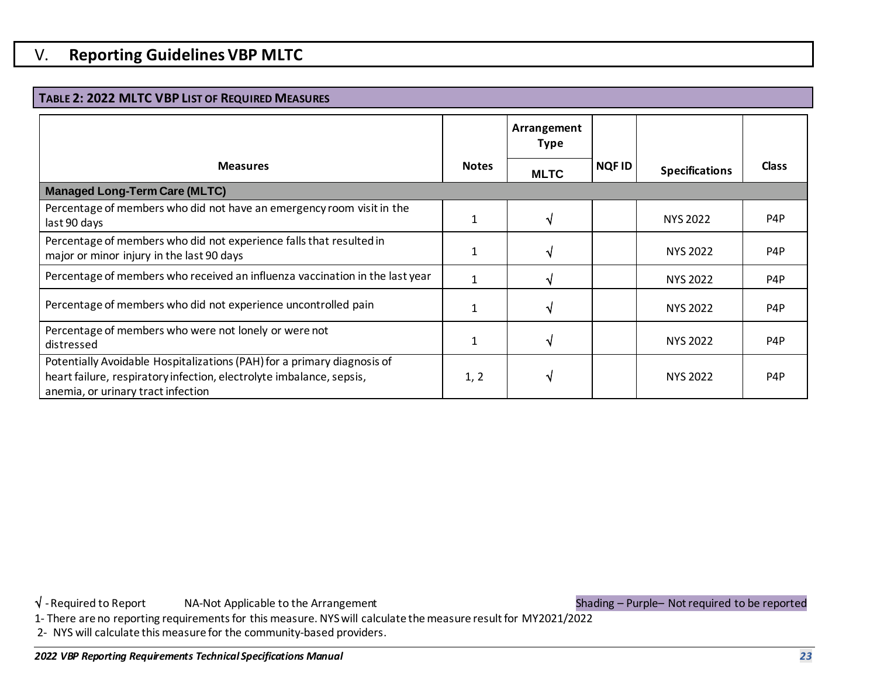#### **TABLE 2: 2022 MLTC VBP LIST OF REQUIRED MEASURES**

<span id="page-22-0"></span>

|                                                                                                                                                                                       |              | Arrangement<br><b>Type</b> |              |                       |                  |
|---------------------------------------------------------------------------------------------------------------------------------------------------------------------------------------|--------------|----------------------------|--------------|-----------------------|------------------|
| <b>Measures</b>                                                                                                                                                                       | <b>Notes</b> | <b>MLTC</b>                | <b>NQFID</b> | <b>Specifications</b> | <b>Class</b>     |
| <b>Managed Long-Term Care (MLTC)</b>                                                                                                                                                  |              |                            |              |                       |                  |
| Percentage of members who did not have an emergency room visit in the<br>last 90 days                                                                                                 |              |                            |              | <b>NYS 2022</b>       | P4P              |
| Percentage of members who did not experience falls that resulted in<br>major or minor injury in the last 90 days                                                                      |              |                            |              | NYS 2022              | P <sub>4</sub> P |
| Percentage of members who received an influenza vaccination in the last year                                                                                                          | $\mathbf{1}$ |                            |              | NYS 2022              | P4P              |
| Percentage of members who did not experience uncontrolled pain                                                                                                                        |              |                            |              | <b>NYS 2022</b>       | P <sub>4</sub> P |
| Percentage of members who were not lonely or were not<br>distressed                                                                                                                   | 1            |                            |              | <b>NYS 2022</b>       | P4P              |
| Potentially Avoidable Hospitalizations (PAH) for a primary diagnosis of<br>heart failure, respiratory infection, electrolyte imbalance, sepsis,<br>anemia, or urinary tract infection | 1, 2         |                            |              | NYS 2022              | P <sub>4</sub> P |

√ - Required to Report NA-Not Applicable to the Arrangement Shading – Purple– Not required to be reported

1- There are no reporting requirements for this measure. NYS will calculate the measure result for MY2021/2022

2- NYS will calculate this measure for the community-based providers.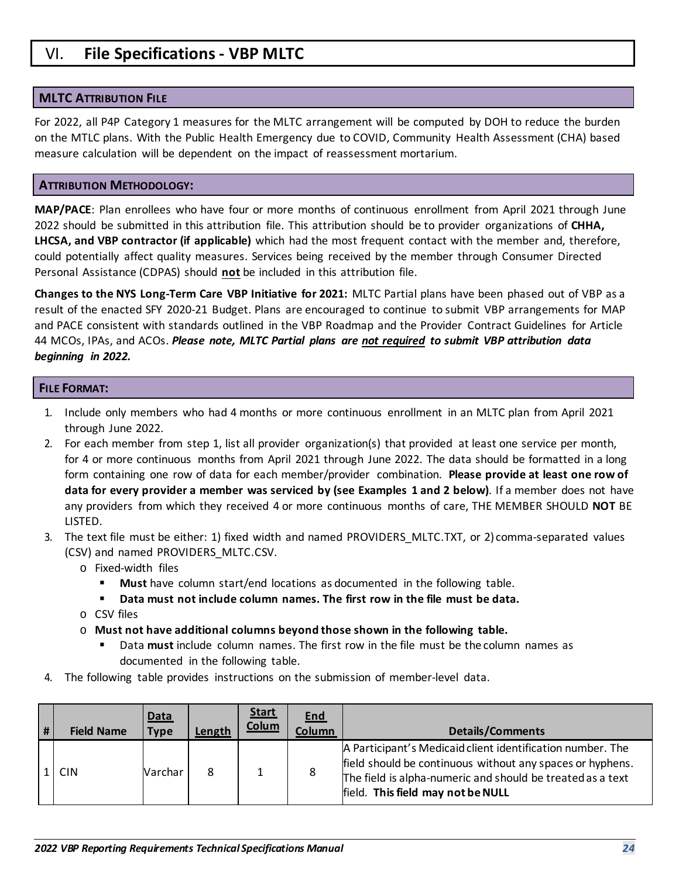#### <span id="page-23-0"></span>**MLTC ATTRIBUTION FILE**

For 2022, all P4P Category 1 measures for the MLTC arrangement will be computed by DOH to reduce the burden on the MTLC plans. With the Public Health Emergency due to COVID, Community Health Assessment (CHA) based measure calculation will be dependent on the impact of reassessment mortarium.

#### <span id="page-23-1"></span>**ATTRIBUTION METHODOLOGY:**

**MAP/PACE**: Plan enrollees who have four or more months of continuous enrollment from April 2021 through June 2022 should be submitted in this attribution file. This attribution should be to provider organizations of **CHHA, LHCSA, and VBP contractor (if applicable)** which had the most frequent contact with the member and, therefore, could potentially affect quality measures. Services being received by the member through Consumer Directed Personal Assistance (CDPAS) should **not** be included in this attribution file.

**Changes to the NYS Long-Term Care VBP Initiative for 2021:** MLTC Partial plans have been phased out of VBP as a result of the enacted SFY 2020-21 Budget. Plans are encouraged to continue to submit VBP arrangements for MAP and PACE consistent with standards outlined in the VBP Roadmap and the Provider Contract Guidelines for Article 44 MCOs, IPAs, and ACOs. *Please note, MLTC Partial plans are not required to submit VBP attribution data beginning in 2022.*

#### <span id="page-23-2"></span>**FILE FORMAT:**

- 1. Include only members who had 4 months or more continuous enrollment in an MLTC plan from April 2021 through June 2022.
- 2. For each member from step 1, list all provider organization(s) that provided at least one service per month, for 4 or more continuous months from April 2021 through June 2022. The data should be formatted in a long form containing one row of data for each member/provider combination. **Please provide at least one row of data for every provider a member was serviced by (see Examples 1 and 2 below)**. If a member does not have any providers from which they received 4 or more continuous months of care, THE MEMBER SHOULD **NOT** BE LISTED.
- 3. The text file must be either: 1) fixed width and named PROVIDERS MLTC.TXT, or 2) comma-separated values (CSV) and named PROVIDERS\_MLTC.CSV.
	- o Fixed-width files
		- **Must** have column start/end locations as documented in the following table.
		- **Data must not include column names. The first row in the file must be data.**
	- o CSV files
	- o **Must not have additional columns beyond those shown in the following table.**
		- Data **must** include column names. The first row in the file must be the column names as documented in the following table.
- 4. The following table provides instructions on the submission of member-level data.

| <b>Field Name</b> | Data<br><b>Type</b> | Length | <b>Start</b><br>Colum | <b>End</b><br>Column | <b>Details/Comments</b>                                                                                                                                                                                                    |
|-------------------|---------------------|--------|-----------------------|----------------------|----------------------------------------------------------------------------------------------------------------------------------------------------------------------------------------------------------------------------|
| <b>CIN</b>        | Varchar             |        |                       | 8                    | A Participant's Medicaid client identification number. The<br>field should be continuous without any spaces or hyphens.<br>The field is alpha-numeric and should be treated as a text<br>field. This field may not be NULL |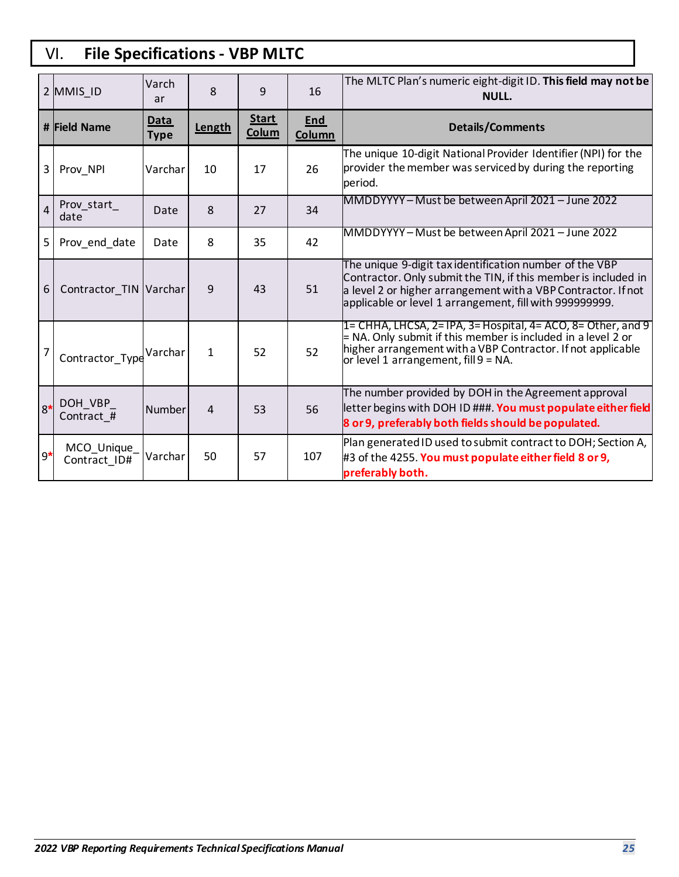|                | 2 MMIS_ID                  | Varch<br>ar                | 8              | 9                     | 16                   | The MLTC Plan's numeric eight-digit ID. This field may not be<br>NULL.                                                                                                                                                                               |
|----------------|----------------------------|----------------------------|----------------|-----------------------|----------------------|------------------------------------------------------------------------------------------------------------------------------------------------------------------------------------------------------------------------------------------------------|
|                | # Field Name               | <b>Data</b><br><b>Type</b> | Length         | <b>Start</b><br>Colum | <u>End</u><br>Column | <b>Details/Comments</b>                                                                                                                                                                                                                              |
| 3 <sup>1</sup> | Prov NPI                   | Varchar                    | 10             | 17                    | 26                   | The unique 10-digit National Provider Identifier (NPI) for the<br>provider the member was serviced by during the reporting<br>period.                                                                                                                |
| 4              | Prov_start_<br>date        | Date                       | 8              | 27                    | 34                   | MMDDYYYY-Must be between April 2021 - June 2022                                                                                                                                                                                                      |
| 5              | Prov end date              | Date                       | 8              | 35                    | 42                   | MMDDYYYY-Must be between April 2021 - June 2022                                                                                                                                                                                                      |
| 6              | Contractor TIN Varchar     |                            | $\overline{9}$ | 43                    | 51                   | The unique 9-digit taxidentification number of the VBP<br>Contractor. Only submit the TIN, if this member is included in<br>a level 2 or higher arrangement with a VBP Contractor. If not<br>applicable or level 1 arrangement, fill with 999999999. |
| 7              | Contractor_Type Varchar    |                            | $\mathbf{1}$   | 52                    | 52                   | 1= CHHA, LHCSA, 2= IPA, 3= Hospital, 4= ACO, 8= Other, and 9<br>$\geq$ NA. Only submit if this member is included in a level 2 or<br>higher arrangement with a VBP Contractor. If not applicable<br>or level 1 arrangement, fill $9 = NA$ .          |
| $8*$           | DOH VBP<br>Contract #      | <b>Number</b>              | $\overline{4}$ | 53                    | 56                   | The number provided by DOH in the Agreement approval<br>letter begins with DOH ID ###. You must populate either field<br>8 or 9, preferably both fields should be populated.                                                                         |
| $9*$           | MCO_Unique<br>Contract_ID# | Varchar                    | 50             | 57                    | 107                  | Plan generated ID used to submit contract to DOH; Section A,<br>#3 of the 4255. You must populate either field 8 or 9,<br>preferably both.                                                                                                           |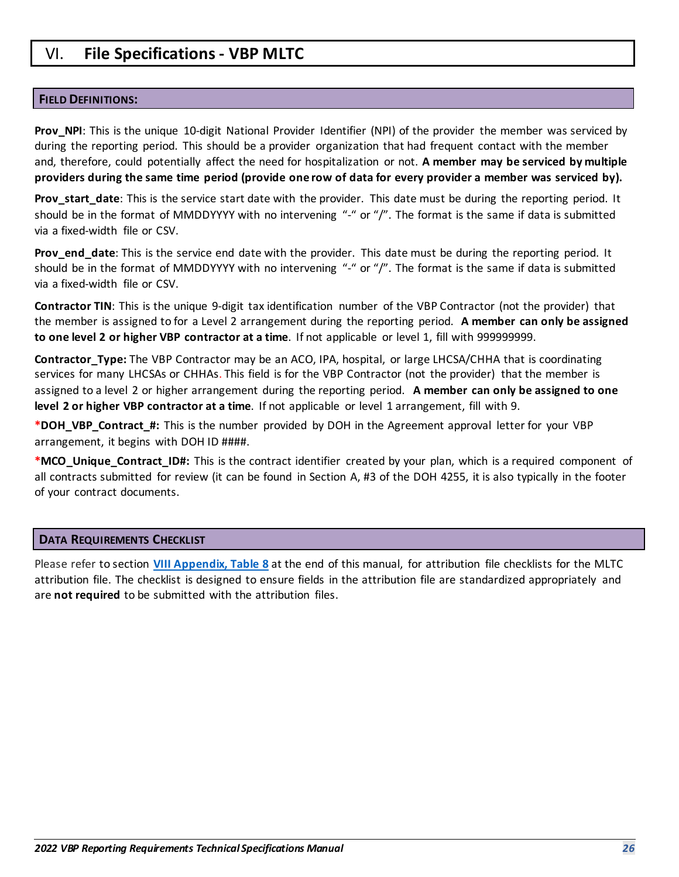#### <span id="page-25-0"></span>**FIELD DEFINITIONS:**

**Prov\_NPI**: This is the unique 10-digit National Provider Identifier (NPI) of the provider the member was serviced by during the reporting period. This should be a provider organization that had frequent contact with the member and, therefore, could potentially affect the need for hospitalization or not. **A member may be serviced by multiple providers during the same time period (provide one row of data for every provider a member was serviced by).**

**Prov\_start\_date**: This is the service start date with the provider. This date must be during the reporting period. It should be in the format of MMDDYYYY with no intervening "-" or "/". The format is the same if data is submitted via a fixed-width file or CSV.

Prov end date: This is the service end date with the provider. This date must be during the reporting period. It should be in the format of MMDDYYYY with no intervening "-" or "/". The format is the same if data is submitted via a fixed-width file or CSV.

**Contractor TIN**: This is the unique 9-digit tax identification number of the VBP Contractor (not the provider) that the member is assigned to for a Level 2 arrangement during the reporting period. **A member can only be assigned to one level 2 or higher VBP contractor at a time**. If not applicable or level 1, fill with 999999999.

**Contractor\_Type:** The VBP Contractor may be an ACO, IPA, hospital, or large LHCSA/CHHA that is coordinating services for many LHCSAs or CHHAs. This field is for the VBP Contractor (not the provider) that the member is assigned to a level 2 or higher arrangement during the reporting period. **A member can only be assigned to one level 2 or higher VBP contractor at a time**. If not applicable or level 1 arrangement, fill with 9.

**\*DOH\_VBP\_Contract\_#:** This is the number provided by DOH in the Agreement approval letter for your VBP arrangement, it begins with DOH ID ####.

**\*MCO\_Unique\_Contract\_ID#:** This is the contract identifier created by your plan, which is a required component of all contracts submitted for review (it can be found in Section A, #3 of the DOH 4255, it is also typically in the footer of your contract documents.

#### **DATA REQUIREMENTS CHECKLIST**

Please refer to section **[VIII Appendix, Table 8](#page-37-0)** at the end of this manual, for attribution file checklists for the MLTC attribution file. The checklist is designed to ensure fields in the attribution file are standardized appropriately and are **not required** to be submitted with the attribution files.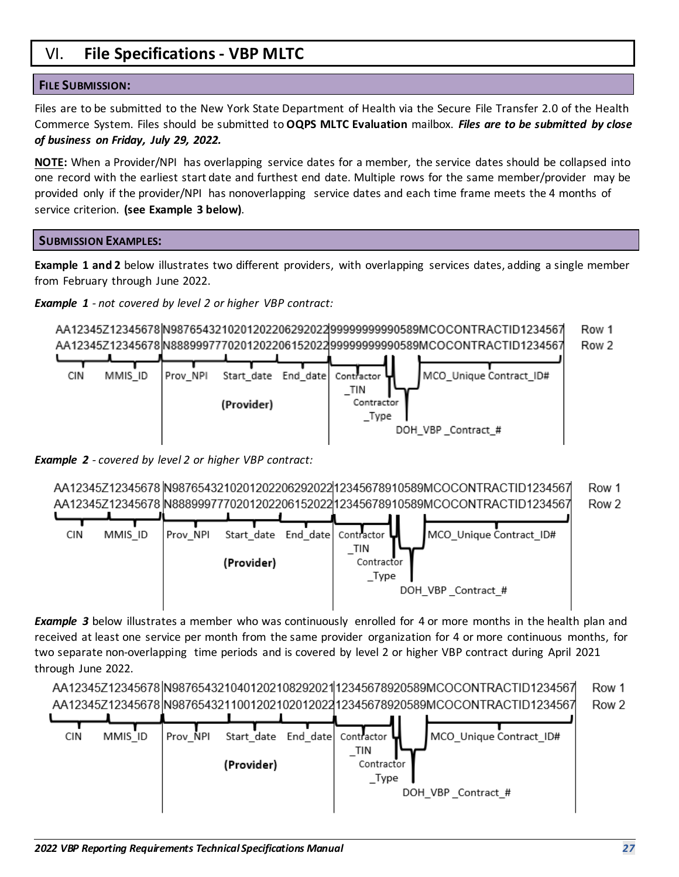#### <span id="page-26-0"></span>**FILE SUBMISSION:**

Files are to be submitted to the New York State Department of Health via the Secure File Transfer 2.0 of the Health Commerce System. Files should be submitted to **OQPS MLTC Evaluation** mailbox. *Files are to be submitted by close of business on Friday, July 29, 2022.* 

**NOTE:** When a Provider/NPI has overlapping service dates for a member, the service dates should be collapsed into one record with the earliest start date and furthest end date. Multiple rows for the same member/provider may be provided only if the provider/NPI has nonoverlapping service dates and each time frame meets the 4 months of service criterion. **(see Example 3 below)**.

#### <span id="page-26-1"></span>**SUBMISSION EXAMPLES:**

**Example 1 and 2** below illustrates two different providers, with overlapping services dates, adding a single member from February through June 2022.

*Example 1 - not covered by level 2 or higher VBP contract:*

AA12345Z12345678|N9876543210201202206292022999999999990589MCOCONTRACTID1234567 Row 1 AA12345Z12345678|N888999777020120220615202299999999990589MCOCONTRACTID1234567 Row 2



*Example 2 - covered by level 2 or higher VBP contract:*

AA12345Z12345678 N987654321020120220629202212345678910589MCOCONTRACTID1234567 Row 1 AA12345Z12345678 N888999777020120220615202212345678910589MCOCONTRACTID1234567 Row 2



*Example 3* below illustrates a member who was continuously enrolled for 4 or more months in the health plan and received at least one service per month from the same provider organization for 4 or more continuous months, for two separate non-overlapping time periods and is covered by level 2 or higher VBP contract during April 2021 through June 2022.

AA12345Z12345678|N9876543210401202108292021 12345678920589MCOCONTRACTID1234567 Row 1 AA12345Z12345678 N9876543211001202102012022 12345678920589MCOCONTRACTID1234567 Row<sub>2</sub> **CIN** MMIS ID Prov NPI Start date End date Contractor MCO Unique Contract ID#  $\_$ TIN (Provider) Contractor

Type

DOH\_VBP\_Contract\_#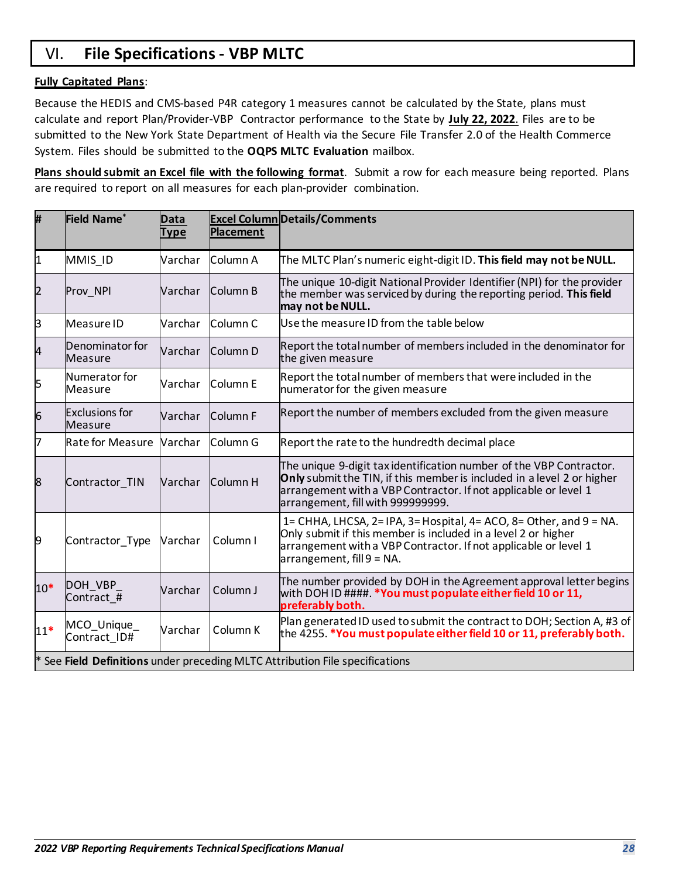#### <span id="page-27-0"></span>**Fully Capitated Plans**:

Because the HEDIS and CMS-based P4R category 1 measures cannot be calculated by the State, plans must calculate and report Plan/Provider-VBP Contractor performance to the State by **July 22, 2022**. Files are to be submitted to the New York State Department of Health via the Secure File Transfer 2.0 of the Health Commerce System. Files should be submitted to the **OQPS MLTC Evaluation** mailbox.

**Plans should submit an Excel file with the following format**. Submit a row for each measure being reported. Plans are required to report on all measures for each plan-provider combination.

| #     | Field Name <sup>*</sup>           | <b>Data</b><br>Type | Placement           | <b>Excel Column Details/Comments</b>                                                                                                                                                                                                                 |
|-------|-----------------------------------|---------------------|---------------------|------------------------------------------------------------------------------------------------------------------------------------------------------------------------------------------------------------------------------------------------------|
| 1     | MMIS ID                           | Varchar             | Column A            | The MLTC Plan's numeric eight-digit ID. This field may not be NULL.                                                                                                                                                                                  |
| 2     | Prov NPI                          | Varchar             | Column B            | The unique 10-digit National Provider Identifier (NPI) for the provider<br>the member was serviced by during the reporting period. This field<br>may not be NULL.                                                                                    |
| þ     | Measure ID                        | Varchar             | Column C            | Use the measure ID from the table below                                                                                                                                                                                                              |
| 4     | Denominator for<br><b>Measure</b> | Varchar             | Column <sub>D</sub> | Report the total number of members included in the denominator for<br>the given measure                                                                                                                                                              |
| 5     | Numerator for<br><b>Measure</b>   | Varchar             | Column E            | Report the total number of members that were included in the<br>numerator for the given measure                                                                                                                                                      |
| 6     | Exclusions for<br><b>Measure</b>  | Varchar             | Column F            | Report the number of members excluded from the given measure                                                                                                                                                                                         |
| 7     | Rate for Measure                  | Varchar             | Column G            | Report the rate to the hundredth decimal place                                                                                                                                                                                                       |
| 8     | Contractor TIN                    | Varchar             | Column H            | The unique 9-digit taxidentification number of the VBP Contractor.<br>Only submit the TIN, if this member is included in a level 2 or higher<br>arrangement with a VBP Contractor. If not applicable or level 1<br>arrangement, fill with 999999999. |
| 9     | Contractor Type                   | Varchar             | Column I            | 1= CHHA, LHCSA, 2= IPA, 3= Hospital, 4= ACO, 8= Other, and 9 = NA.<br>Only submit if this member is included in a level 2 or higher<br>arrangement with a VBP Contractor. If not applicable or level 1<br>arrangement, fill 9 = NA.                  |
| $10*$ | DOH_VBP<br>Contract #             | Varchar             | Column J            | The number provided by DOH in the Agreement approval letter begins<br>with DOH ID ####. *You must populate either field 10 or 11,<br>preferably both.                                                                                                |
| $11*$ | MCO_Unique_<br>Contract ID#       | Varchar             | Column K            | Plan generated ID used to submit the contract to DOH; Section A, #3 of<br>the 4255. *You must populate either field 10 or 11, preferably both.                                                                                                       |
|       |                                   |                     |                     | See Field Definitions under preceding MLTC Attribution File specifications                                                                                                                                                                           |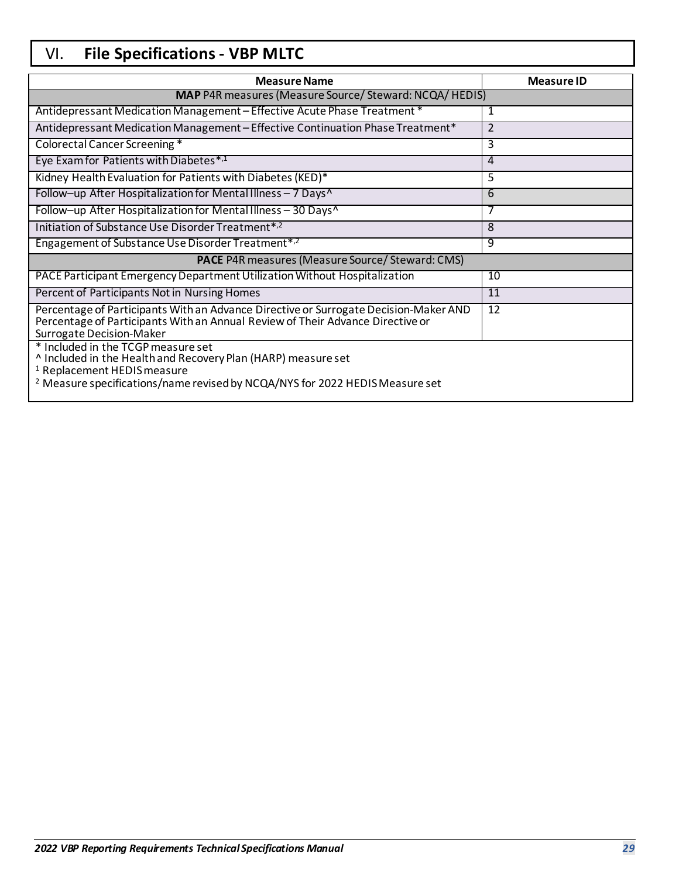| <b>Measure Name</b>                                                                                                                                                                                | <b>Measure ID</b> |
|----------------------------------------------------------------------------------------------------------------------------------------------------------------------------------------------------|-------------------|
| MAP P4R measures (Measure Source/ Steward: NCQA/ HEDIS)                                                                                                                                            |                   |
| Antidepressant Medication Management – Effective Acute Phase Treatment *                                                                                                                           | 1                 |
| Antidepressant Medication Management - Effective Continuation Phase Treatment*                                                                                                                     | 2                 |
| Colorectal Cancer Screening*                                                                                                                                                                       | 3                 |
| Eye Exam for Patients with Diabetes*,1                                                                                                                                                             | 4                 |
| Kidney Health Evaluation for Patients with Diabetes (KED)*                                                                                                                                         | 5                 |
| Follow-up After Hospitalization for Mental Illness - 7 Days <sup>^</sup>                                                                                                                           | 6                 |
| Follow-up After Hospitalization for Mental Illness - 30 Days^                                                                                                                                      |                   |
| Initiation of Substance Use Disorder Treatment*,2                                                                                                                                                  | 8                 |
| Engagement of Substance Use Disorder Treatment <sup>*,2</sup>                                                                                                                                      | 9                 |
| <b>PACE</b> P4R measures (Measure Source/ Steward: CMS)                                                                                                                                            |                   |
| PACE Participant Emergency Department Utilization Without Hospitalization                                                                                                                          | 10                |
| Percent of Participants Not in Nursing Homes                                                                                                                                                       | 11                |
| Percentage of Participants With an Advance Directive or Surrogate Decision-Maker AND<br>Percentage of Participants With an Annual Review of Their Advance Directive or<br>Surrogate Decision-Maker | 12                |
| * Included in the TCGP measure set<br>^ Included in the Health and Recovery Plan (HARP) measure set                                                                                                |                   |
| <sup>1</sup> Replacement HEDIS measure                                                                                                                                                             |                   |
| <sup>2</sup> Measure specifications/name revised by NCQA/NYS for 2022 HEDIS Measure set                                                                                                            |                   |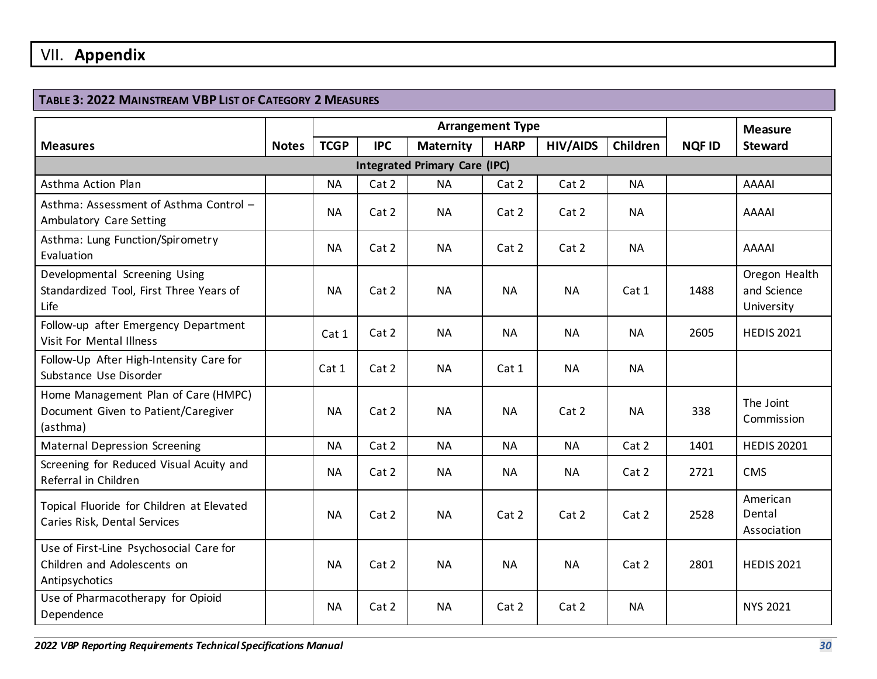#### **TABLE 3: 2022 MAINSTREAM VBP LIST OF CATEGORY 2 MEASURES**

<span id="page-29-0"></span>

|                                                                                          |              |             |            |                                      | <b>Arrangement Type</b> |                 |           |              | <b>Measure</b>                             |
|------------------------------------------------------------------------------------------|--------------|-------------|------------|--------------------------------------|-------------------------|-----------------|-----------|--------------|--------------------------------------------|
| <b>Measures</b>                                                                          | <b>Notes</b> | <b>TCGP</b> | <b>IPC</b> | <b>Maternity</b>                     | <b>HARP</b>             | <b>HIV/AIDS</b> | Children  | <b>NQFID</b> | <b>Steward</b>                             |
|                                                                                          |              |             |            | <b>Integrated Primary Care (IPC)</b> |                         |                 |           |              |                                            |
| Asthma Action Plan                                                                       |              | <b>NA</b>   | Cat 2      | <b>NA</b>                            | Cat 2                   | Cat 2           | <b>NA</b> |              | AAAAI                                      |
| Asthma: Assessment of Asthma Control -<br>Ambulatory Care Setting                        |              | <b>NA</b>   | Cat 2      | <b>NA</b>                            | Cat 2                   | Cat 2           | <b>NA</b> |              | AAAAI                                      |
| Asthma: Lung Function/Spirometry<br>Evaluation                                           |              | <b>NA</b>   | Cat 2      | <b>NA</b>                            | Cat 2                   | Cat 2           | <b>NA</b> |              | AAAAI                                      |
| Developmental Screening Using<br>Standardized Tool, First Three Years of<br>Life         |              | <b>NA</b>   | Cat 2      | <b>NA</b>                            | <b>NA</b>               | <b>NA</b>       | Cat 1     | 1488         | Oregon Health<br>and Science<br>University |
| Follow-up after Emergency Department<br><b>Visit For Mental Illness</b>                  |              | Cat 1       | Cat 2      | <b>NA</b>                            | <b>NA</b>               | <b>NA</b>       | <b>NA</b> | 2605         | <b>HEDIS 2021</b>                          |
| Follow-Up After High-Intensity Care for<br>Substance Use Disorder                        |              | Cat 1       | Cat 2      | <b>NA</b>                            | Cat 1                   | <b>NA</b>       | <b>NA</b> |              |                                            |
| Home Management Plan of Care (HMPC)<br>Document Given to Patient/Caregiver<br>(asthma)   |              | <b>NA</b>   | Cat 2      | <b>NA</b>                            | <b>NA</b>               | Cat 2           | <b>NA</b> | 338          | The Joint<br>Commission                    |
| <b>Maternal Depression Screening</b>                                                     |              | <b>NA</b>   | Cat 2      | <b>NA</b>                            | <b>NA</b>               | <b>NA</b>       | Cat 2     | 1401         | <b>HEDIS 20201</b>                         |
| Screening for Reduced Visual Acuity and<br>Referral in Children                          |              | <b>NA</b>   | Cat 2      | <b>NA</b>                            | <b>NA</b>               | <b>NA</b>       | Cat 2     | 2721         | <b>CMS</b>                                 |
| Topical Fluoride for Children at Elevated<br>Caries Risk, Dental Services                |              | <b>NA</b>   | Cat 2      | <b>NA</b>                            | Cat 2                   | Cat 2           | Cat 2     | 2528         | American<br>Dental<br>Association          |
| Use of First-Line Psychosocial Care for<br>Children and Adolescents on<br>Antipsychotics |              | <b>NA</b>   | Cat 2      | <b>NA</b>                            | <b>NA</b>               | <b>NA</b>       | Cat 2     | 2801         | <b>HEDIS 2021</b>                          |
| Use of Pharmacotherapy for Opioid<br>Dependence                                          |              | <b>NA</b>   | Cat 2      | <b>NA</b>                            | Cat 2                   | Cat 2           | <b>NA</b> |              | <b>NYS 2021</b>                            |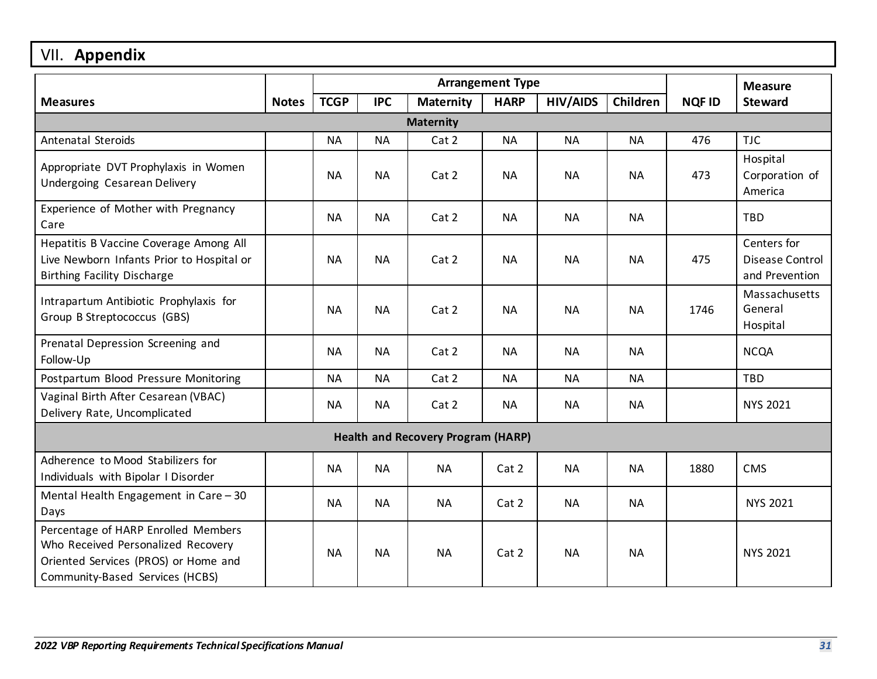|                                                                                                                                                      |              |            |                                           | <b>Arrangement Type</b> |           |                     |              | <b>Measure</b>                                   |
|------------------------------------------------------------------------------------------------------------------------------------------------------|--------------|------------|-------------------------------------------|-------------------------|-----------|---------------------|--------------|--------------------------------------------------|
| <b>Measures</b>                                                                                                                                      | Notes   TCGP | <b>IPC</b> | <b>Maternity</b>                          | <b>HARP</b>             |           | HIV/AIDS   Children | <b>NQFID</b> | <b>Steward</b>                                   |
|                                                                                                                                                      |              |            | <b>Maternity</b>                          |                         |           |                     |              |                                                  |
| Antenatal Steroids                                                                                                                                   | <b>NA</b>    | <b>NA</b>  | Cat 2                                     | <b>NA</b>               | <b>NA</b> | <b>NA</b>           | 476          | <b>TJC</b>                                       |
| Appropriate DVT Prophylaxis in Women<br>Undergoing Cesarean Delivery                                                                                 | <b>NA</b>    | <b>NA</b>  | Cat 2                                     | <b>NA</b>               | <b>NA</b> | <b>NA</b>           | 473          | Hospital<br>Corporation of<br>America            |
| Experience of Mother with Pregnancy<br>Care                                                                                                          | <b>NA</b>    | <b>NA</b>  | Cat 2                                     | <b>NA</b>               | <b>NA</b> | <b>NA</b>           |              | TBD                                              |
| Hepatitis B Vaccine Coverage Among All<br>Live Newborn Infants Prior to Hospital or<br>Birthing Facility Discharge                                   | <b>NA</b>    | <b>NA</b>  | Cat 2                                     | <b>NA</b>               | <b>NA</b> | <b>NA</b>           | 475          | Centers for<br>Disease Control<br>and Prevention |
| Intrapartum Antibiotic Prophylaxis for<br>Group B Streptococcus (GBS)                                                                                | <b>NA</b>    | <b>NA</b>  | Cat 2                                     | <b>NA</b>               | <b>NA</b> | <b>NA</b>           | 1746         | Massachusetts<br>General<br>Hospital             |
| Prenatal Depression Screening and<br>Follow-Up                                                                                                       | <b>NA</b>    | <b>NA</b>  | Cat 2                                     | <b>NA</b>               | <b>NA</b> | <b>NA</b>           |              | <b>NCQA</b>                                      |
| Postpartum Blood Pressure Monitoring                                                                                                                 | <b>NA</b>    | <b>NA</b>  | Cat 2                                     | NA.                     | <b>NA</b> | NA.                 |              | TBD                                              |
| Vaginal Birth After Cesarean (VBAC)<br>Delivery Rate, Uncomplicated                                                                                  | <b>NA</b>    | <b>NA</b>  | Cat 2                                     | <b>NA</b>               | <b>NA</b> | <b>NA</b>           |              | NYS 2021                                         |
|                                                                                                                                                      |              |            | <b>Health and Recovery Program (HARP)</b> |                         |           |                     |              |                                                  |
| Adherence to Mood Stabilizers for<br>Individuals with Bipolar I Disorder                                                                             | <b>NA</b>    | <b>NA</b>  | <b>NA</b>                                 | Cat 2                   | <b>NA</b> | <b>NA</b>           | 1880         | CMS                                              |
| Mental Health Engagement in Care - 30<br>Days                                                                                                        | <b>NA</b>    | <b>NA</b>  | <b>NA</b>                                 | Cat 2                   | <b>NA</b> | <b>NA</b>           |              | NYS 2021                                         |
| Percentage of HARP Enrolled Members<br>Who Received Personalized Recovery<br>Oriented Services (PROS) or Home and<br>Community-Based Services (HCBS) | <b>NA</b>    | NA         | <b>NA</b>                                 | Cat 2                   | <b>NA</b> | <b>NA</b>           |              | NYS 2021                                         |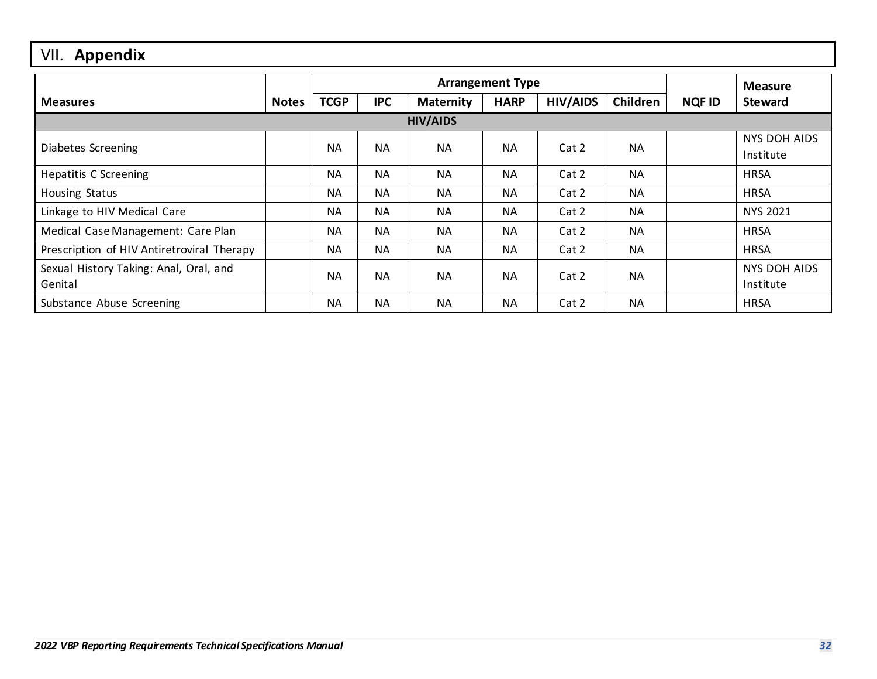|                                                   |              |             | <b>Arrangement Type</b> |                  |             |                 |           | <b>Measure</b> |                           |
|---------------------------------------------------|--------------|-------------|-------------------------|------------------|-------------|-----------------|-----------|----------------|---------------------------|
| <b>Measures</b>                                   | <b>Notes</b> | <b>TCGP</b> | <b>IPC</b>              | <b>Maternity</b> | <b>HARP</b> | <b>HIV/AIDS</b> | Children  | <b>NQF ID</b>  | <b>Steward</b>            |
| <b>HIV/AIDS</b>                                   |              |             |                         |                  |             |                 |           |                |                           |
| Diabetes Screening                                |              | <b>NA</b>   | <b>NA</b>               | <b>NA</b>        | <b>NA</b>   | Cat 2           | <b>NA</b> |                | NYS DOH AIDS<br>Institute |
| <b>Hepatitis C Screening</b>                      |              | <b>NA</b>   | <b>NA</b>               | <b>NA</b>        | <b>NA</b>   | Cat 2           | <b>NA</b> |                | <b>HRSA</b>               |
| Housing Status                                    |              | <b>NA</b>   | <b>NA</b>               | <b>NA</b>        | <b>NA</b>   | Cat 2           | <b>NA</b> |                | <b>HRSA</b>               |
| Linkage to HIV Medical Care                       |              | <b>NA</b>   | <b>NA</b>               | <b>NA</b>        | <b>NA</b>   | Cat 2           | <b>NA</b> |                | NYS 2021                  |
| Medical Case Management: Care Plan                |              | <b>NA</b>   | <b>NA</b>               | <b>NA</b>        | <b>NA</b>   | Cat 2           | <b>NA</b> |                | <b>HRSA</b>               |
| Prescription of HIV Antiretroviral Therapy        |              | <b>NA</b>   | <b>NA</b>               | <b>NA</b>        | <b>NA</b>   | Cat 2           | <b>NA</b> |                | <b>HRSA</b>               |
| Sexual History Taking: Anal, Oral, and<br>Genital |              | <b>NA</b>   | <b>NA</b>               | <b>NA</b>        | <b>NA</b>   | Cat 2           | <b>NA</b> |                | NYS DOH AIDS<br>Institute |
| Substance Abuse Screening                         |              | <b>NA</b>   | <b>NA</b>               | <b>NA</b>        | <b>NA</b>   | Cat 2           | <b>NA</b> |                | <b>HRSA</b>               |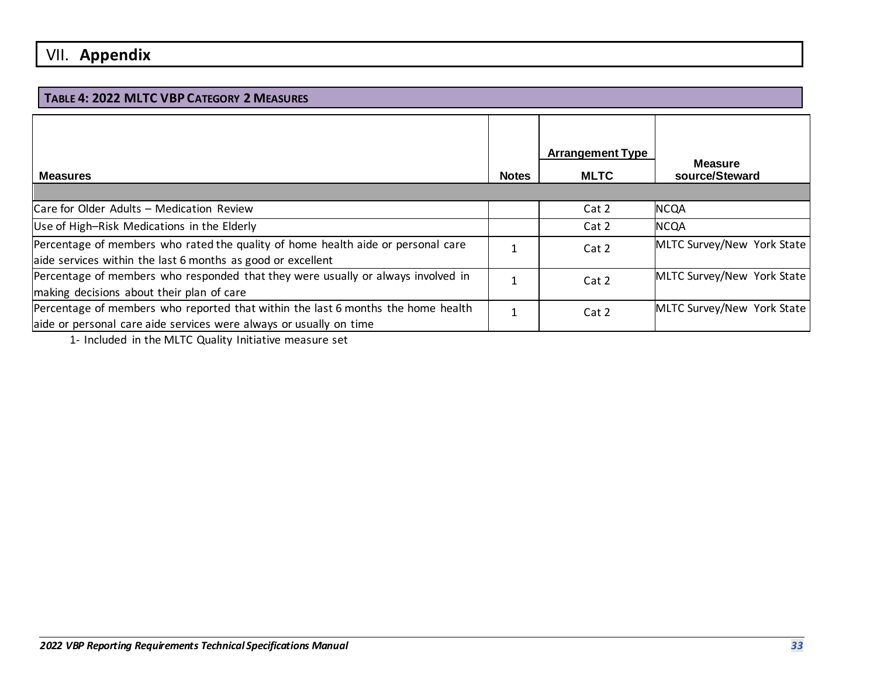### **TABLE 4: 2022 MLTC VBP CATEGORY 2 MEASURES**

| <b>Measures</b>                                                                                                                                        | <b>Notes</b> | <b>Arrangement Type</b><br><b>MLTC</b> | <b>Measure</b><br>source/Steward |
|--------------------------------------------------------------------------------------------------------------------------------------------------------|--------------|----------------------------------------|----------------------------------|
|                                                                                                                                                        |              |                                        |                                  |
| Care for Older Adults - Medication Review                                                                                                              |              | Cat 2                                  | <b>NCQA</b>                      |
| Use of High-Risk Medications in the Elderly                                                                                                            |              | Cat 2                                  | <b>NCQA</b>                      |
| Percentage of members who rated the quality of home health aide or personal care<br>aide services within the last 6 months as good or excellent        |              | Cat 2                                  | MLTC Survey/New York State       |
| Percentage of members who responded that they were usually or always involved in<br>making decisions about their plan of care                          | 1            | Cat 2                                  | MLTC Survey/New York State       |
| Percentage of members who reported that within the last 6 months the home health<br>aide or personal care aide services were always or usually on time | 1            | Cat 2                                  | MLTC Survey/New York State       |

<span id="page-32-0"></span>1- Included in the MLTC Quality Initiative measure set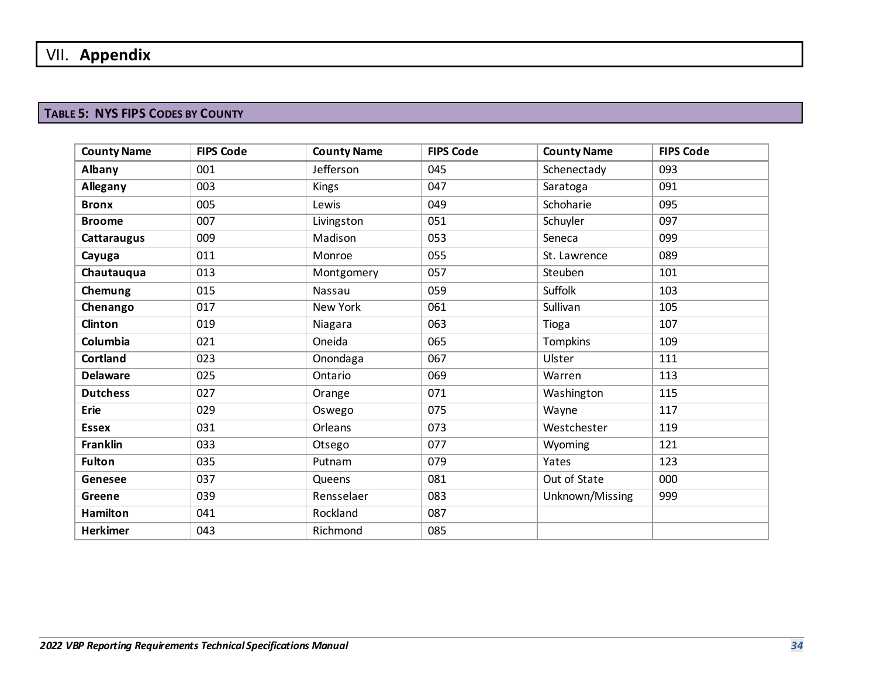#### **TABLE 5: NYS FIPS CODES BY COUNTY**

<span id="page-33-0"></span>

| <b>County Name</b> | <b>FIPS Code</b> | <b>County Name</b> | <b>FIPS Code</b> | <b>County Name</b> | <b>FIPS Code</b> |
|--------------------|------------------|--------------------|------------------|--------------------|------------------|
| Albany             | 001              | Jefferson          | 045              | Schenectady        | 093              |
| Allegany           | 003              | <b>Kings</b>       | 047              | Saratoga           | 091              |
| <b>Bronx</b>       | 005              | Lewis              | 049              | Schoharie          | 095              |
| <b>Broome</b>      | 007              | Livingston         | 051              | Schuyler           | 097              |
| <b>Cattaraugus</b> | 009              | Madison            | 053              | Seneca             | 099              |
| Cayuga             | 011              | Monroe             | 055              | St. Lawrence       | 089              |
| Chautauqua         | 013              | Montgomery         | 057              | Steuben            | 101              |
| Chemung            | 015              | Nassau             | 059              | Suffolk            | 103              |
| Chenango           | 017              | New York           | 061              | Sullivan           | 105              |
| Clinton            | 019              | Niagara            | 063              | Tioga              | 107              |
| Columbia           | 021              | Oneida             | 065              | <b>Tompkins</b>    | 109              |
| <b>Cortland</b>    | 023              | Onondaga           | 067              | Ulster             | 111              |
| <b>Delaware</b>    | 025              | Ontario            | 069              | Warren             | 113              |
| <b>Dutchess</b>    | 027              | Orange             | 071              | Washington         | 115              |
| Erie               | 029              | Oswego             | 075              | Wayne              | 117              |
| <b>Essex</b>       | 031              | Orleans            | 073              | Westchester        | 119              |
| <b>Franklin</b>    | 033              | Otsego             | 077              | Wyoming            | 121              |
| <b>Fulton</b>      | 035              | Putnam             | 079              | Yates              | 123              |
| Genesee            | 037              | Queens             | 081              | Out of State       | 000              |
| <b>Greene</b>      | 039              | Rensselaer         | 083              | Unknown/Missing    | 999              |
| <b>Hamilton</b>    | 041              | Rockland           | 087              |                    |                  |
| <b>Herkimer</b>    | 043              | Richmond           | 085              |                    |                  |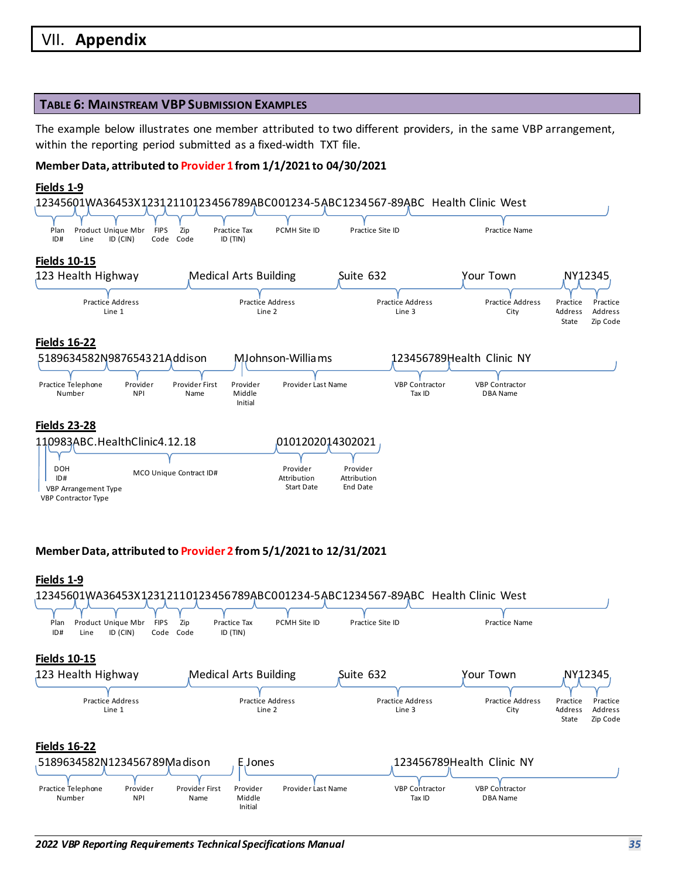<span id="page-34-0"></span>

The example below illustrates one member attributed to two different providers, in the same VBP arrangement, within the reporting period submitted as a fixed-width TXT file.

#### **Member Data, attributed to Provider 1 from 1/1/2021 to 04/30/2021**

#### **Fields 1-9**

12345601WA36453X12312110123456789ABC001234-5ABC1234567-89ABC Health Clinic West



#### **Member Data, attributed to Provider 2 from 5/1/2021 to 12/31/2021**

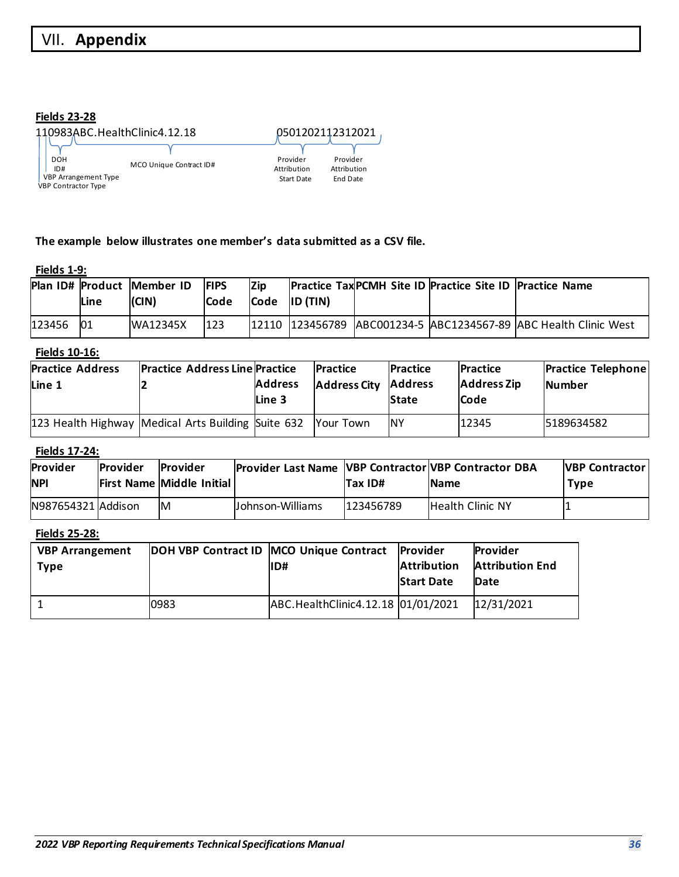#### **Fields 23-28**

| 110983ABC.HealthClinic4.12.18                                                  |                         |                                       | 0501202112312021                    |
|--------------------------------------------------------------------------------|-------------------------|---------------------------------------|-------------------------------------|
| <b>DOH</b><br>ID#<br><b>VBP Arrangement Type</b><br><b>VBP Contractor Type</b> | MCO Unique Contract ID# | Provider<br>Attribution<br>Start Date | Provider<br>Attribution<br>End Date |

#### **The example below illustrates one member's data submitted as a CSV file.**

**Fields 1-9:** 

|        | Line         | Plan ID# Product Member ID<br>ICIN) | <b>IFIPS</b><br>lCode | <b>Zip</b> | Code (ID (TIN) | <b>Practice Tax PCMH Site ID Practice Site ID Practice Name</b> |                                                                          |
|--------|--------------|-------------------------------------|-----------------------|------------|----------------|-----------------------------------------------------------------|--------------------------------------------------------------------------|
| 123456 | $\mathbf{D}$ | <b>WA12345X</b>                     | <b>123</b>            |            |                |                                                                 | 12110   123456789   ABC001234-5   ABC1234567-89   ABC Health Clinic West |

#### **Fields 10-16:**

| <b>Practice Address</b><br>Line 1 | <b>Practice Address Line Practice</b>              | <b>Address</b><br>lLine 3 | <b>IPractice</b><br>Address City Address | <b>Practice</b><br><b>IState</b> | <b>IPractice</b><br>Address Zip<br><b>Code</b> | <b>Practice Telephone</b><br><b>INumber</b> |
|-----------------------------------|----------------------------------------------------|---------------------------|------------------------------------------|----------------------------------|------------------------------------------------|---------------------------------------------|
|                                   | 123 Health Highway Medical Arts Building Suite 632 |                           | Your Town                                | INY                              | 12345                                          | 15189634582                                 |

#### **Fields 17-24:**

| <b>Provider</b><br><b>NPI</b> | <b>IProvider</b> | <b>IProvider</b><br><b>First Name Middle Initial</b> |                  | Tax ID#   | <b>Provider Last Name VBP Contractor VBP Contractor DBA</b><br><b>IName</b> | <b>VBP Contractor</b><br><b>Type</b> |
|-------------------------------|------------------|------------------------------------------------------|------------------|-----------|-----------------------------------------------------------------------------|--------------------------------------|
| N987654321 Addison            |                  | ΙM                                                   | Uohnson-Williams | 123456789 | <b>Health Clinic NY</b>                                                     |                                      |

#### **Fields 25-28:**

| <b>VBP Arrangement</b><br><b>Type</b> |      | DOH VBP Contract ID   MCO Unique Contract<br>IID# | <b>IProvider</b><br><b>Attribution</b><br><b>Start Date</b> | Provider<br><b>Attribution End</b><br>Date |
|---------------------------------------|------|---------------------------------------------------|-------------------------------------------------------------|--------------------------------------------|
|                                       | 0983 | ABC.HealthClinic4.12.18 01/01/2021                |                                                             | 12/31/2021                                 |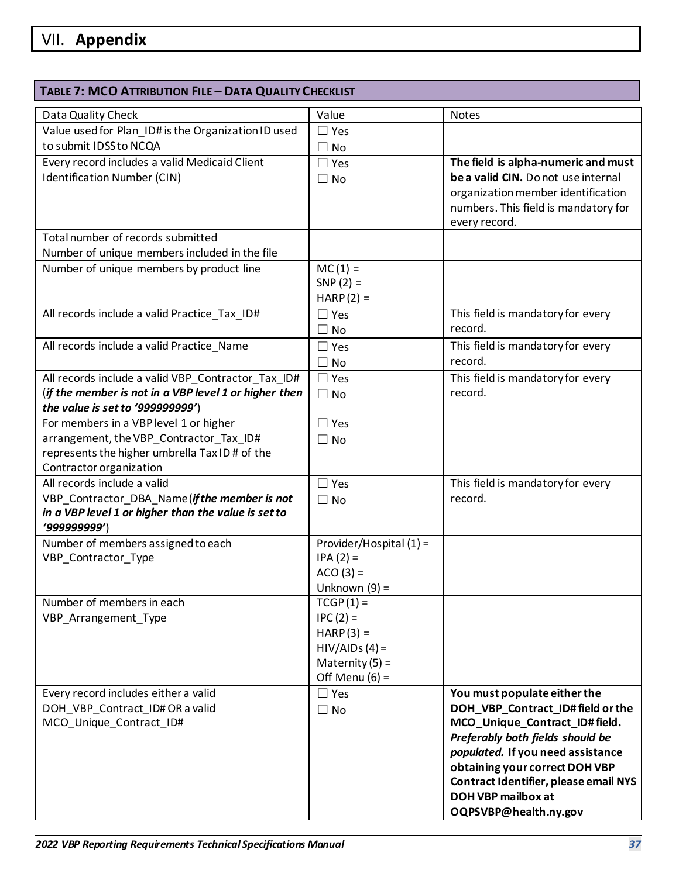<span id="page-36-0"></span>

| <b>TABLE 7: MCO ATTRIBUTION FILE - DATA QUALITY CHECKLIST</b> |  |
|---------------------------------------------------------------|--|
|                                                               |  |

| Data Quality Check                                                                                  | Value                     | Notes                                 |
|-----------------------------------------------------------------------------------------------------|---------------------------|---------------------------------------|
| Value used for Plan_ID# is the Organization ID used                                                 | $\Box$ Yes                |                                       |
| to submit IDSS to NCQA                                                                              | $\Box$ No                 |                                       |
| Every record includes a valid Medicaid Client                                                       | $\Box$ Yes                | The field is alpha-numeric and must   |
| <b>Identification Number (CIN)</b>                                                                  | $\Box$ No                 | be a valid CIN. Do not use internal   |
|                                                                                                     |                           | organization member identification    |
|                                                                                                     |                           | numbers. This field is mandatory for  |
|                                                                                                     |                           | every record.                         |
| Total number of records submitted                                                                   |                           |                                       |
| Number of unique members included in the file                                                       |                           |                                       |
| Number of unique members by product line                                                            | $MC(1) =$                 |                                       |
|                                                                                                     | $SNP(2) =$                |                                       |
|                                                                                                     | $HARP(2) =$               |                                       |
| All records include a valid Practice_Tax_ID#                                                        | $\Box$ Yes                | This field is mandatory for every     |
|                                                                                                     | $\Box$ No                 | record.                               |
| All records include a valid Practice_Name                                                           | $\Box$ Yes                | This field is mandatory for every     |
|                                                                                                     | $\Box$ No                 | record.                               |
| All records include a valid VBP_Contractor_Tax_ID#                                                  | $\Box$ Yes                | This field is mandatory for every     |
| (if the member is not in a VBP level 1 or higher then                                               | $\Box$ No                 | record.                               |
| the value is set to '999999999')                                                                    |                           |                                       |
| For members in a VBP level 1 or higher                                                              | $\overline{\Box}$ Yes     |                                       |
| arrangement, the VBP_Contractor_Tax_ID#                                                             | $\Box$ No                 |                                       |
| represents the higher umbrella Tax ID # of the                                                      |                           |                                       |
| Contractor organization                                                                             |                           |                                       |
| All records include a valid                                                                         | $\Box$ Yes                | This field is mandatory for every     |
| VBP_Contractor_DBA_Name(if the member is not<br>in a VBP level 1 or higher than the value is set to | $\Box$ No                 | record.                               |
| '999999999')                                                                                        |                           |                                       |
| Number of members assigned to each                                                                  | Provider/Hospital $(1)$ = |                                       |
| VBP_Contractor_Type                                                                                 | $IPA(2) =$                |                                       |
|                                                                                                     | $ACO(3) =$                |                                       |
|                                                                                                     | Unknown $(9) =$           |                                       |
| Number of members in each                                                                           | $TCGP(1) =$               |                                       |
| VBP Arrangement Type                                                                                | $IPC(2) =$                |                                       |
|                                                                                                     | $HARP(3) =$               |                                       |
|                                                                                                     | $HIV/AIDs(4) =$           |                                       |
|                                                                                                     | Maternity $(5) =$         |                                       |
|                                                                                                     | Off Menu $(6)$ =          |                                       |
| Every record includes either a valid                                                                | $\Box$ Yes                | You must populate either the          |
| DOH_VBP_Contract_ID#OR a valid                                                                      | $\Box$ No                 | DOH_VBP_Contract_ID#field or the      |
| MCO_Unique_Contract_ID#                                                                             |                           | MCO_Unique_Contract_ID#field.         |
|                                                                                                     |                           | Preferably both fields should be      |
|                                                                                                     |                           | populated. If you need assistance     |
|                                                                                                     |                           | obtaining your correct DOH VBP        |
|                                                                                                     |                           | Contract Identifier, please email NYS |
|                                                                                                     |                           | DOH VBP mailbox at                    |
|                                                                                                     |                           | OQPSVBP@health.ny.gov                 |